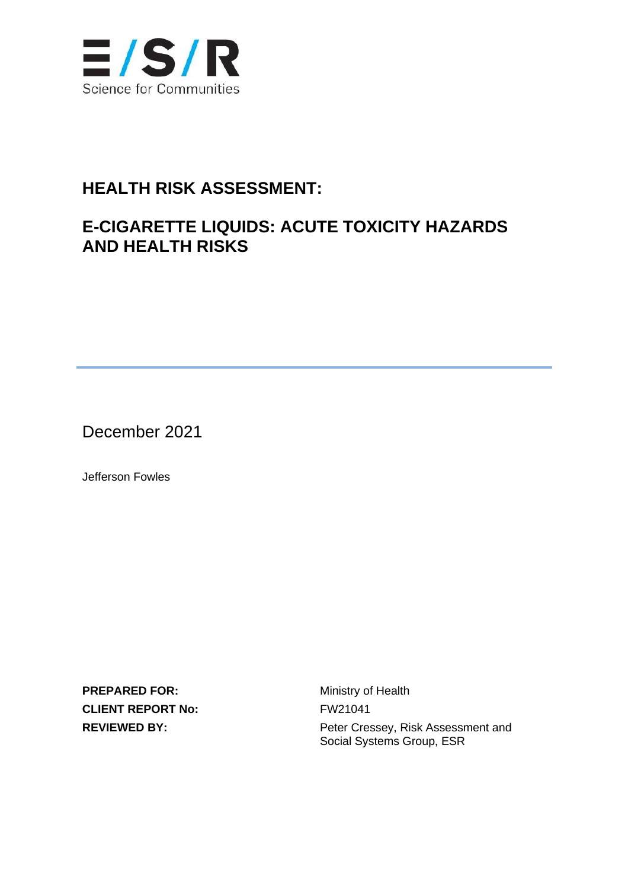

### **HEALTH RISK ASSESSMENT:**

### **E-CIGARETTE LIQUIDS: ACUTE TOXICITY HAZARDS AND HEALTH RISKS**

December 2021

Jefferson Fowles

**PREPARED FOR:** Ministry of Health **CLIENT REPORT No:** FW21041

**REVIEWED BY:** Peter Cressey, Risk Assessment and Social Systems Group, ESR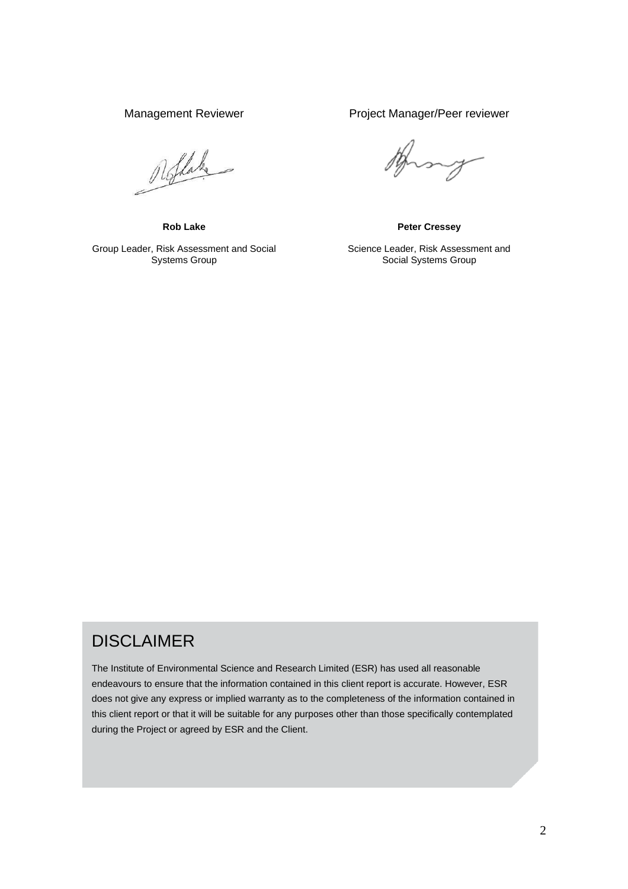Roflake

Group Leader, Risk Assessment and Social Systems Group

Management Reviewer **Project Manager/Peer reviewer** 

my

**Rob Lake Peter Cressey**

Science Leader, Risk Assessment and Social Systems Group

### DISCLAIMER

The Institute of Environmental Science and Research Limited (ESR) has used all reasonable endeavours to ensure that the information contained in this client report is accurate. However, ESR does not give any express or implied warranty as to the completeness of the information contained in this client report or that it will be suitable for any purposes other than those specifically contemplated during the Project or agreed by ESR and the Client.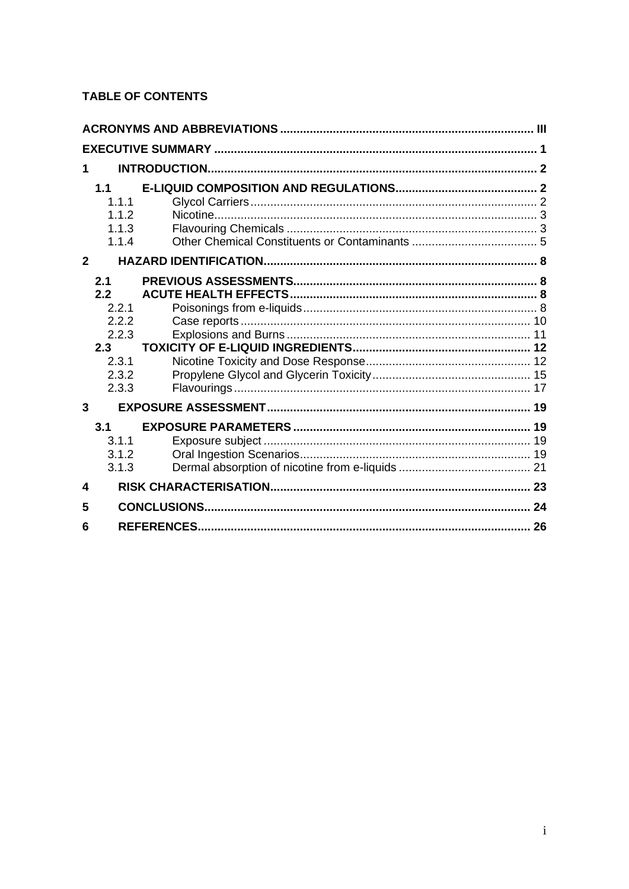### **TABLE OF CONTENTS**

| 1              |                                         |    |
|----------------|-----------------------------------------|----|
| $\mathbf{2}$   | 1.1<br>1.1.1<br>1.1.2<br>1.1.3<br>1.1.4 |    |
|                |                                         |    |
|                | 2.1<br>2.2                              |    |
|                | 2.2.1                                   |    |
|                | 2.2.2                                   |    |
|                | 2.2.3                                   |    |
|                | 2.3                                     |    |
|                | 2.3.1                                   |    |
|                | 2.3.2                                   |    |
|                | 2.3.3                                   |    |
| $\overline{3}$ |                                         |    |
|                | 3.1                                     |    |
|                | 3.1.1                                   |    |
|                | 3.1.2                                   |    |
|                | 3.1.3                                   |    |
| 4              |                                         |    |
| 5              |                                         |    |
| 6              |                                         | 26 |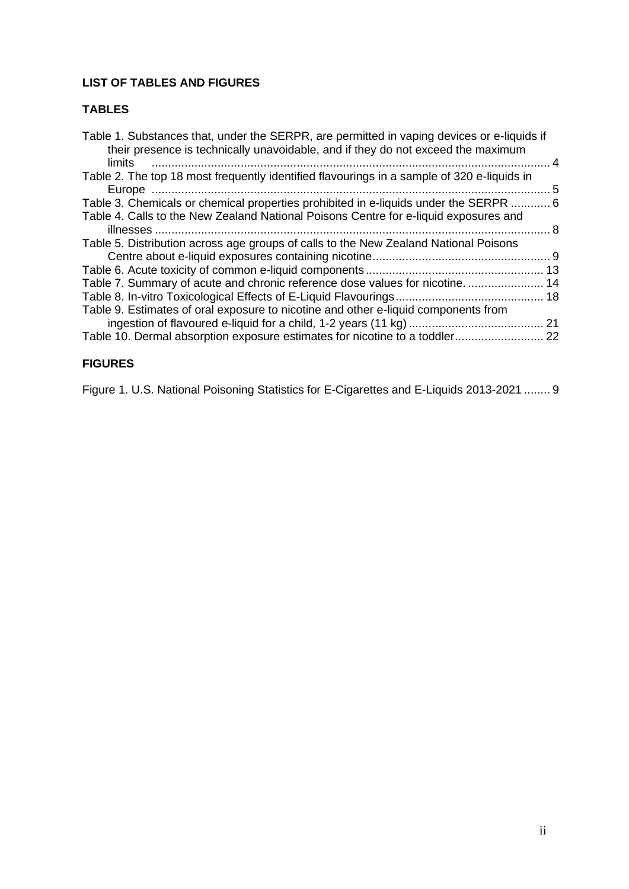### **LIST OF TABLES AND FIGURES**

#### **TABLES**

| Table 1. Substances that, under the SERPR, are permitted in vaping devices or e-liquids if<br>their presence is technically unavoidable, and if they do not exceed the maximum<br>limits | 4   |
|------------------------------------------------------------------------------------------------------------------------------------------------------------------------------------------|-----|
| Table 2. The top 18 most frequently identified flavourings in a sample of 320 e-liquids in                                                                                               |     |
|                                                                                                                                                                                          | 5   |
| Table 3. Chemicals or chemical properties prohibited in e-liquids under the SERPR  6                                                                                                     |     |
| Table 4. Calls to the New Zealand National Poisons Centre for e-liquid exposures and                                                                                                     | - 8 |
| Table 5. Distribution across age groups of calls to the New Zealand National Poisons                                                                                                     |     |
|                                                                                                                                                                                          |     |
|                                                                                                                                                                                          |     |
| Table 7. Summary of acute and chronic reference dose values for nicotine 14                                                                                                              |     |
|                                                                                                                                                                                          |     |
| Table 9. Estimates of oral exposure to nicotine and other e-liquid components from                                                                                                       |     |
|                                                                                                                                                                                          |     |
| Table 10. Dermal absorption exposure estimates for nicotine to a toddler 22                                                                                                              |     |
|                                                                                                                                                                                          |     |

#### **FIGURES**

[Figure 1. U.S. National Poisoning Statistics for E-Cigarettes and E-Liquids 2013-2021](#page-13-1) ........ 9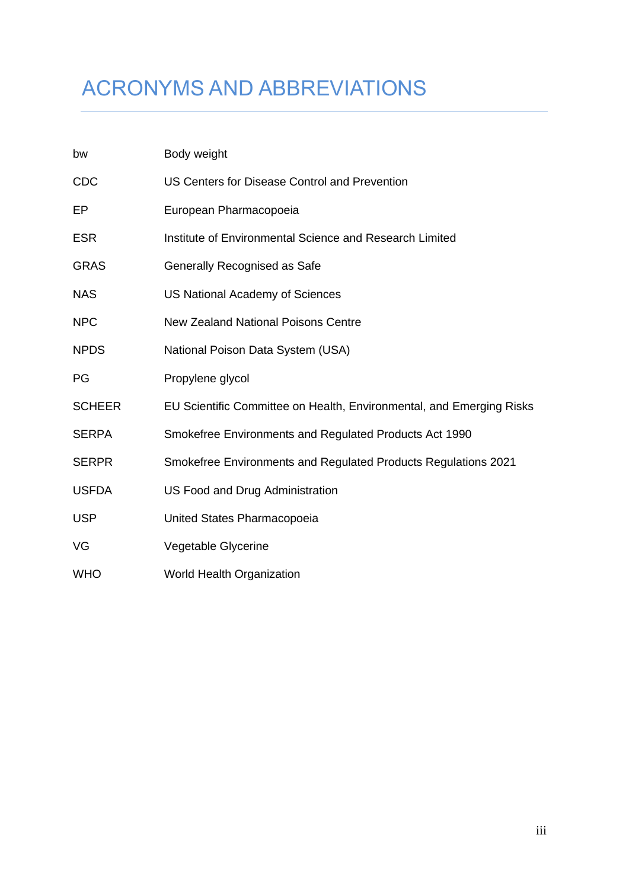# ACRONYMS AND ABBREVIATIONS

| bw            | Body weight                                                          |
|---------------|----------------------------------------------------------------------|
| <b>CDC</b>    | US Centers for Disease Control and Prevention                        |
| EP            | European Pharmacopoeia                                               |
| <b>ESR</b>    | Institute of Environmental Science and Research Limited              |
| <b>GRAS</b>   | Generally Recognised as Safe                                         |
| <b>NAS</b>    | <b>US National Academy of Sciences</b>                               |
| <b>NPC</b>    | <b>New Zealand National Poisons Centre</b>                           |
| <b>NPDS</b>   | National Poison Data System (USA)                                    |
| PG            | Propylene glycol                                                     |
| <b>SCHEER</b> | EU Scientific Committee on Health, Environmental, and Emerging Risks |
| <b>SERPA</b>  | Smokefree Environments and Regulated Products Act 1990               |
| <b>SERPR</b>  | Smokefree Environments and Regulated Products Regulations 2021       |
| <b>USFDA</b>  | US Food and Drug Administration                                      |
| <b>USP</b>    | United States Pharmacopoeia                                          |
| VG            | Vegetable Glycerine                                                  |
| <b>WHO</b>    | World Health Organization                                            |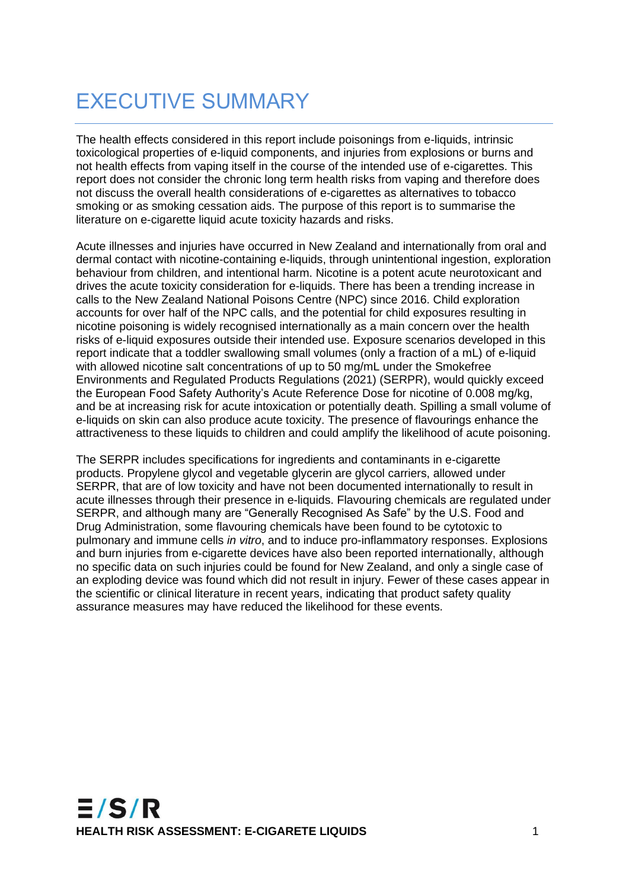# EXECUTIVE SUMMARY

The health effects considered in this report include poisonings from e-liquids, intrinsic toxicological properties of e-liquid components, and injuries from explosions or burns and not health effects from vaping itself in the course of the intended use of e-cigarettes. This report does not consider the chronic long term health risks from vaping and therefore does not discuss the overall health considerations of e-cigarettes as alternatives to tobacco smoking or as smoking cessation aids. The purpose of this report is to summarise the literature on e-cigarette liquid acute toxicity hazards and risks.

Acute illnesses and injuries have occurred in New Zealand and internationally from oral and dermal contact with nicotine-containing e-liquids, through unintentional ingestion, exploration behaviour from children, and intentional harm. Nicotine is a potent acute neurotoxicant and drives the acute toxicity consideration for e-liquids. There has been a trending increase in calls to the New Zealand National Poisons Centre (NPC) since 2016. Child exploration accounts for over half of the NPC calls, and the potential for child exposures resulting in nicotine poisoning is widely recognised internationally as a main concern over the health risks of e-liquid exposures outside their intended use. Exposure scenarios developed in this report indicate that a toddler swallowing small volumes (only a fraction of a mL) of e-liquid with allowed nicotine salt concentrations of up to 50 mg/mL under the Smokefree Environments and Regulated Products Regulations (2021) (SERPR), would quickly exceed the European Food Safety Authority's Acute Reference Dose for nicotine of 0.008 mg/kg, and be at increasing risk for acute intoxication or potentially death. Spilling a small volume of e-liquids on skin can also produce acute toxicity. The presence of flavourings enhance the attractiveness to these liquids to children and could amplify the likelihood of acute poisoning.

The SERPR includes specifications for ingredients and contaminants in e-cigarette products. Propylene glycol and vegetable glycerin are glycol carriers, allowed under SERPR, that are of low toxicity and have not been documented internationally to result in acute illnesses through their presence in e-liquids. Flavouring chemicals are regulated under SERPR, and although many are "Generally Recognised As Safe" by the U.S. Food and Drug Administration, some flavouring chemicals have been found to be cytotoxic to pulmonary and immune cells *in vitro*, and to induce pro-inflammatory responses. Explosions and burn injuries from e-cigarette devices have also been reported internationally, although no specific data on such injuries could be found for New Zealand, and only a single case of an exploding device was found which did not result in injury. Fewer of these cases appear in the scientific or clinical literature in recent years, indicating that product safety quality assurance measures may have reduced the likelihood for these events.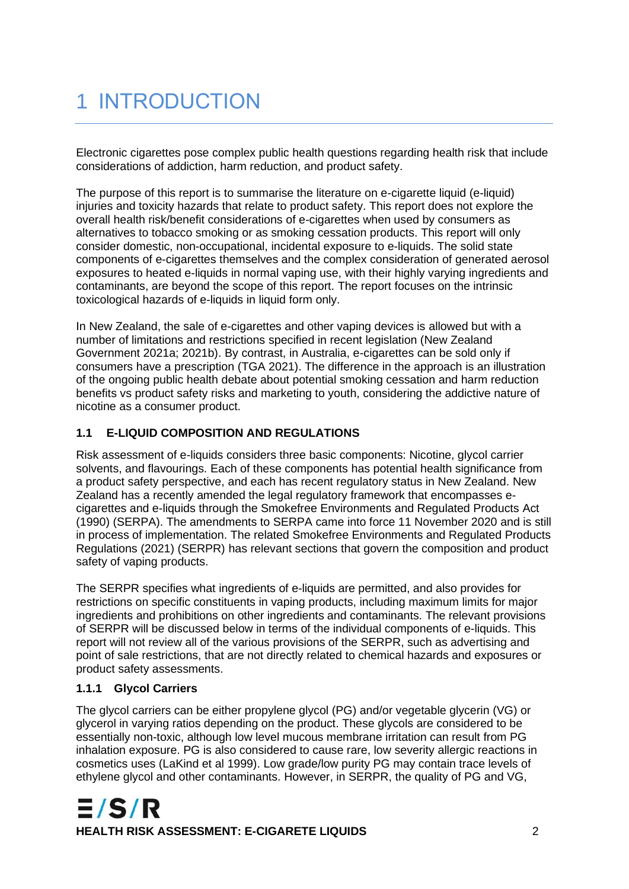# 1 INTRODUCTION

Electronic cigarettes pose complex public health questions regarding health risk that include considerations of addiction, harm reduction, and product safety.

The purpose of this report is to summarise the literature on e-cigarette liquid (e-liquid) injuries and toxicity hazards that relate to product safety. This report does not explore the overall health risk/benefit considerations of e-cigarettes when used by consumers as alternatives to tobacco smoking or as smoking cessation products. This report will only consider domestic, non-occupational, incidental exposure to e-liquids. The solid state components of e-cigarettes themselves and the complex consideration of generated aerosol exposures to heated e-liquids in normal vaping use, with their highly varying ingredients and contaminants, are beyond the scope of this report. The report focuses on the intrinsic toxicological hazards of e-liquids in liquid form only.

In New Zealand, the sale of e-cigarettes and other vaping devices is allowed but with a number of limitations and restrictions specified in recent legislation (New Zealand Government 2021a; 2021b). By contrast, in Australia, e-cigarettes can be sold only if consumers have a prescription (TGA 2021). The difference in the approach is an illustration of the ongoing public health debate about potential smoking cessation and harm reduction benefits vs product safety risks and marketing to youth, considering the addictive nature of nicotine as a consumer product.

#### **1.1 E-LIQUID COMPOSITION AND REGULATIONS**

Risk assessment of e-liquids considers three basic components: Nicotine, glycol carrier solvents, and flavourings. Each of these components has potential health significance from a product safety perspective, and each has recent regulatory status in New Zealand. New Zealand has a recently amended the legal regulatory framework that encompasses ecigarettes and e-liquids through the Smokefree Environments and Regulated Products Act (1990) (SERPA). The amendments to SERPA came into force 11 November 2020 and is still in process of implementation. The related Smokefree Environments and Regulated Products Regulations (2021) (SERPR) has relevant sections that govern the composition and product safety of vaping products.

The SERPR specifies what ingredients of e-liquids are permitted, and also provides for restrictions on specific constituents in vaping products, including maximum limits for major ingredients and prohibitions on other ingredients and contaminants. The relevant provisions of SERPR will be discussed below in terms of the individual components of e-liquids. This report will not review all of the various provisions of the SERPR, such as advertising and point of sale restrictions, that are not directly related to chemical hazards and exposures or product safety assessments.

#### **1.1.1 Glycol Carriers**

The glycol carriers can be either propylene glycol (PG) and/or vegetable glycerin (VG) or glycerol in varying ratios depending on the product. These glycols are considered to be essentially non-toxic, although low level mucous membrane irritation can result from PG inhalation exposure. PG is also considered to cause rare, low severity allergic reactions in cosmetics uses (LaKind et al 1999). Low grade/low purity PG may contain trace levels of ethylene glycol and other contaminants. However, in SERPR, the quality of PG and VG,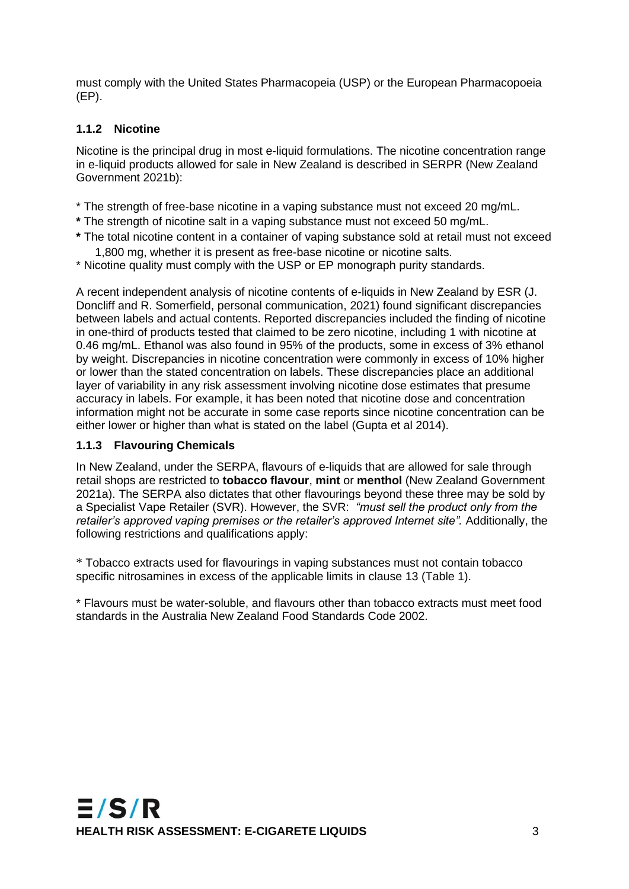must comply with the United States Pharmacopeia (USP) or the European Pharmacopoeia (EP).

#### **1.1.2 Nicotine**

Nicotine is the principal drug in most e-liquid formulations. The nicotine concentration range in e-liquid products allowed for sale in New Zealand is described in SERPR (New Zealand Government 2021b):

- \* The strength of free-base nicotine in a vaping substance must not exceed 20 mg/mL.
- **\*** The strength of nicotine salt in a vaping substance must not exceed 50 mg/mL.
- **\*** The total nicotine content in a container of vaping substance sold at retail must not exceed 1,800 mg, whether it is present as free-base nicotine or nicotine salts.
- \* Nicotine quality must comply with the USP or EP monograph purity standards.

A recent independent analysis of nicotine contents of e-liquids in New Zealand by ESR (J. Doncliff and R. Somerfield, personal communication, 2021) found significant discrepancies between labels and actual contents. Reported discrepancies included the finding of nicotine in one-third of products tested that claimed to be zero nicotine, including 1 with nicotine at 0.46 mg/mL. Ethanol was also found in 95% of the products, some in excess of 3% ethanol by weight. Discrepancies in nicotine concentration were commonly in excess of 10% higher or lower than the stated concentration on labels. These discrepancies place an additional layer of variability in any risk assessment involving nicotine dose estimates that presume accuracy in labels. For example, it has been noted that nicotine dose and concentration information might not be accurate in some case reports since nicotine concentration can be either lower or higher than what is stated on the label (Gupta et al 2014).

#### **1.1.3 Flavouring Chemicals**

In New Zealand, under the SERPA, flavours of e-liquids that are allowed for sale through retail shops are restricted to **tobacco flavour**, **mint** or **menthol** (New Zealand Government 2021a). The SERPA also dictates that other flavourings beyond these three may be sold by a Specialist Vape Retailer (SVR). However, the SVR: *"must sell the product only from the*  retailer's approved vaping premises or the retailer's approved Internet site". Additionally, the following restrictions and qualifications apply:

\* Tobacco extracts used for flavourings in vaping substances must not contain tobacco specific nitrosamines in excess of the applicable limits in clause 13 (Table 1).

\* Flavours must be water-soluble, and flavours other than tobacco extracts must meet food standards in the Australia New Zealand Food Standards Code 2002.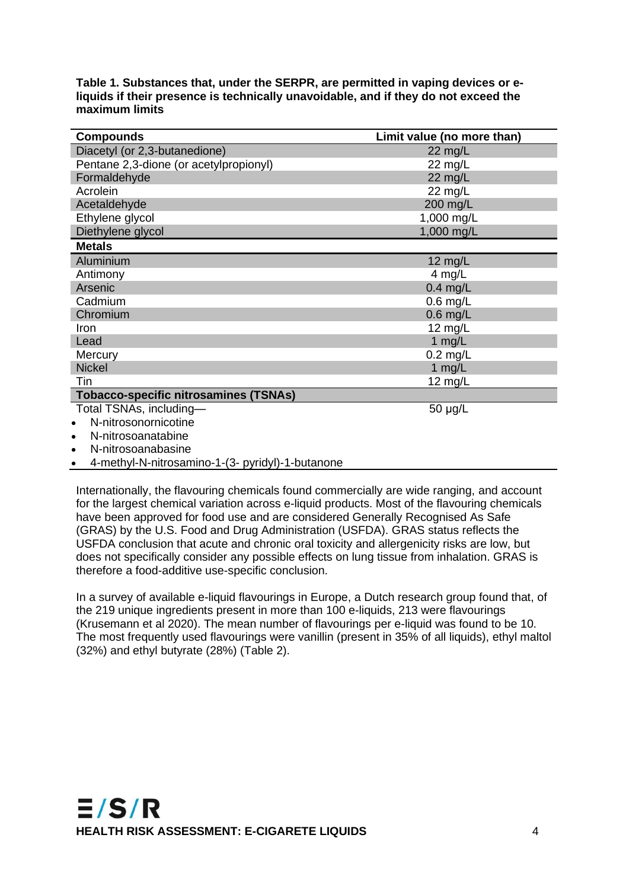<span id="page-8-0"></span>

| Table 1. Substances that, under the SERPR, are permitted in vaping devices or e-    |
|-------------------------------------------------------------------------------------|
| liquids if their presence is technically unavoidable, and if they do not exceed the |
| maximum limits                                                                      |

| <b>Compounds</b>                             | Limit value (no more than) |
|----------------------------------------------|----------------------------|
| Diacetyl (or 2,3-butanedione)                | $22$ mg/L                  |
| Pentane 2,3-dione (or acetylpropionyl)       | 22 mg/L                    |
| Formaldehyde                                 | 22 mg/L                    |
| Acrolein                                     | 22 mg/L                    |
| Acetaldehyde                                 | 200 mg/L                   |
| Ethylene glycol                              | 1,000 mg/L                 |
| Diethylene glycol                            | 1,000 mg/L                 |
| <b>Metals</b>                                |                            |
| Aluminium                                    | $12 \text{ mg/L}$          |
| Antimony                                     | 4 mg/L                     |
| Arsenic                                      | $0.4$ mg/L                 |
| Cadmium                                      | $0.6$ mg/L                 |
| Chromium                                     | $0.6$ mg/L                 |
| Iron                                         | 12 $mg/L$                  |
| Lead                                         | 1 $mg/L$                   |
| Mercury                                      | $0.2$ mg/L                 |
| <b>Nickel</b>                                | 1 mg/L                     |
| Tin                                          | 12 $mg/L$                  |
| <b>Tobacco-specific nitrosamines (TSNAs)</b> |                            |
| Total TSNAs, including-                      | $50 \mu g/L$               |
| N-nitrosonornicotine<br>$\bullet$            |                            |
| N-nitrosoanatabine<br>$\bullet$              |                            |
| N-nitrosoanabasine<br>$\bullet$              |                            |
|                                              |                            |

• 4-methyl-N-nitrosamino-1-(3- pyridyl)-1-butanone

Internationally, the flavouring chemicals found commercially are wide ranging, and account for the largest chemical variation across e-liquid products. Most of the flavouring chemicals have been approved for food use and are considered Generally Recognised As Safe (GRAS) by the U.S. Food and Drug Administration (USFDA). GRAS status reflects the USFDA conclusion that acute and chronic oral toxicity and allergenicity risks are low, but does not specifically consider any possible effects on lung tissue from inhalation. GRAS is therefore a food-additive use-specific conclusion.

In a survey of available e-liquid flavourings in Europe, a Dutch research group found that, of the 219 unique ingredients present in more than 100 e-liquids, 213 were flavourings (Krusemann et al 2020). The mean number of flavourings per e-liquid was found to be 10. The most frequently used flavourings were vanillin (present in 35% of all liquids), ethyl maltol (32%) and ethyl butyrate (28%) (Table 2).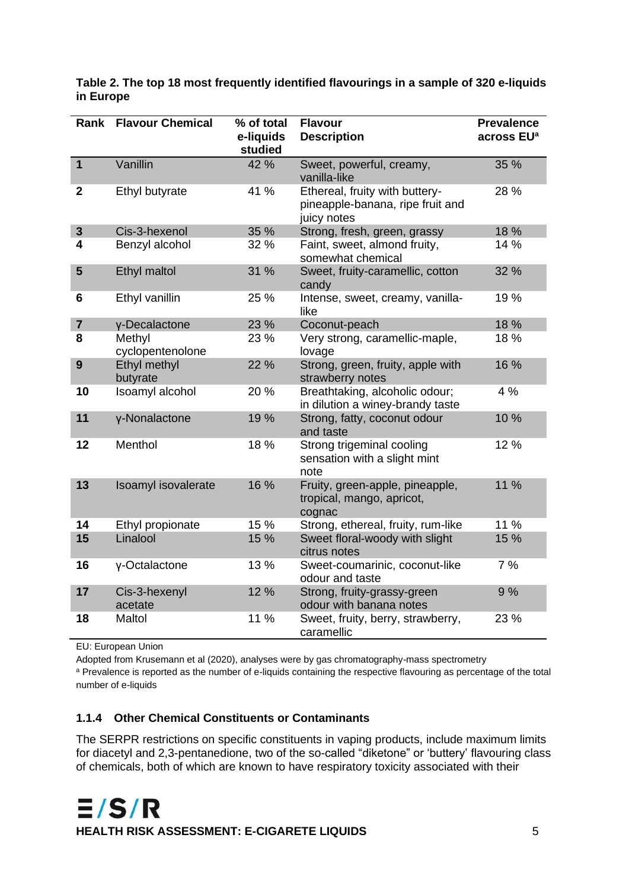| Rank                    | <b>Flavour Chemical</b>    | % of total<br>e-liquids<br>studied | <b>Flavour</b><br><b>Description</b>                                              | <b>Prevalence</b><br>across EU <sup>a</sup> |
|-------------------------|----------------------------|------------------------------------|-----------------------------------------------------------------------------------|---------------------------------------------|
| $\overline{1}$          | Vanillin                   | 42 %                               | Sweet, powerful, creamy,<br>vanilla-like                                          | 35 %                                        |
| $\mathbf 2$             | Ethyl butyrate             | 41 %                               | Ethereal, fruity with buttery-<br>pineapple-banana, ripe fruit and<br>juicy notes | 28 %                                        |
| $\mathbf{3}$            | Cis-3-hexenol              | 35 %                               | Strong, fresh, green, grassy                                                      | 18 %                                        |
| 4                       | Benzyl alcohol             | 32 %                               | Faint, sweet, almond fruity,<br>somewhat chemical                                 | 14 %                                        |
| 5                       | <b>Ethyl maltol</b>        | 31 %                               | Sweet, fruity-caramellic, cotton<br>candy                                         | 32 %                                        |
| 6                       | Ethyl vanillin             | 25 %                               | Intense, sweet, creamy, vanilla-<br>like                                          | 19 %                                        |
| $\overline{\mathbf{7}}$ | y-Decalactone              | 23 %                               | Coconut-peach                                                                     | 18 %                                        |
| 8                       | Methyl<br>cyclopentenolone | 23 %                               | Very strong, caramellic-maple,<br>lovage                                          | 18 %                                        |
| 9                       | Ethyl methyl<br>butyrate   | 22 %                               | Strong, green, fruity, apple with<br>strawberry notes                             | 16 %                                        |
| 10                      | Isoamyl alcohol            | 20 %                               | Breathtaking, alcoholic odour;<br>in dilution a winey-brandy taste                | 4 %                                         |
| 11                      | y-Nonalactone              | 19 %                               | Strong, fatty, coconut odour<br>and taste                                         | 10 %                                        |
| 12                      | Menthol                    | 18 %                               | Strong trigeminal cooling<br>sensation with a slight mint<br>note                 | 12 %                                        |
| 13                      | Isoamyl isovalerate        | 16 %                               | Fruity, green-apple, pineapple,<br>tropical, mango, apricot,<br>cognac            | 11 %                                        |
| 14                      | Ethyl propionate           | 15 %                               | Strong, ethereal, fruity, rum-like                                                | 11 %                                        |
| 15                      | Linalool                   | 15 %                               | Sweet floral-woody with slight<br>citrus notes                                    | 15 %                                        |
| 16                      | γ-Octalactone              | 13 %                               | Sweet-coumarinic, coconut-like<br>odour and taste                                 | 7%                                          |
| 17                      | Cis-3-hexenyl<br>acetate   | 12 %                               | Strong, fruity-grassy-green<br>odour with banana notes                            | 9%                                          |
| 18                      | Maltol                     | 11 %                               | Sweet, fruity, berry, strawberry,<br>caramellic                                   | 23 %                                        |

<span id="page-9-0"></span>**Table 2. The top 18 most frequently identified flavourings in a sample of 320 e-liquids in Europe**

EU: European Union

Adopted from Krusemann et al (2020), analyses were by gas chromatography-mass spectrometry

a Prevalence is reported as the number of e-liquids containing the respective flavouring as percentage of the total number of e-liquids

#### **1.1.4 Other Chemical Constituents or Contaminants**

The SERPR restrictions on specific constituents in vaping products, include maximum limits for diacetyl and 2,3-pentanedione, two of the so-called "diketone" or 'buttery' flavouring class of chemicals, both of which are known to have respiratory toxicity associated with their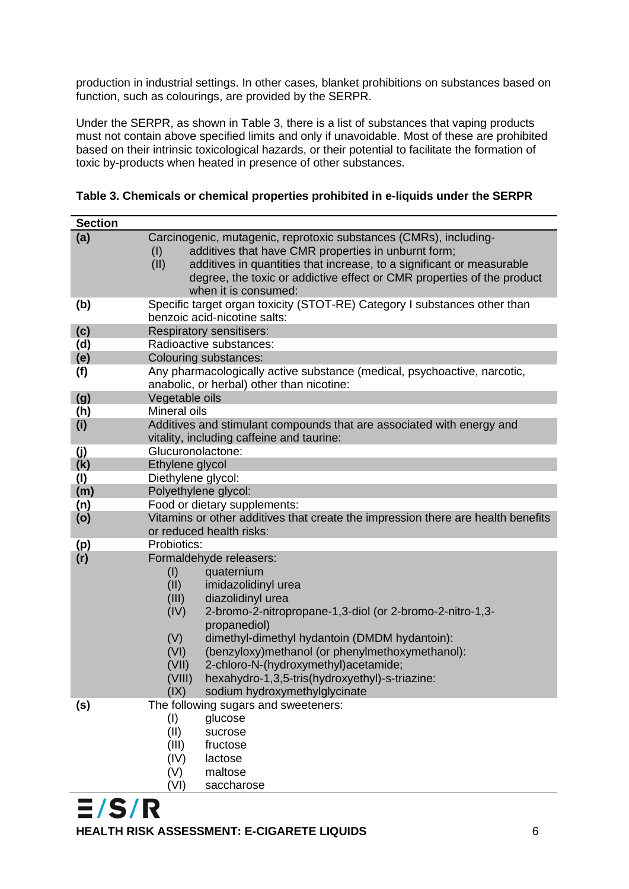production in industrial settings. In other cases, blanket prohibitions on substances based on function, such as colourings, are provided by the SERPR.

Under the SERPR, as shown in Table 3, there is a list of substances that vaping products must not contain above specified limits and only if unavoidable. Most of these are prohibited based on their intrinsic toxicological hazards, or their potential to facilitate the formation of toxic by-products when heated in presence of other substances.

| <b>Section</b> |                                                                                  |  |  |
|----------------|----------------------------------------------------------------------------------|--|--|
| (a)            | Carcinogenic, mutagenic, reprotoxic substances (CMRs), including-                |  |  |
|                | additives that have CMR properties in unburnt form;<br>(1)                       |  |  |
|                | additives in quantities that increase, to a significant or measurable<br>(II)    |  |  |
|                | degree, the toxic or addictive effect or CMR properties of the product           |  |  |
|                | when it is consumed:                                                             |  |  |
| (b)            | Specific target organ toxicity (STOT-RE) Category I substances other than        |  |  |
|                | benzoic acid-nicotine salts:                                                     |  |  |
| (c)            | Respiratory sensitisers:                                                         |  |  |
| (d)            | Radioactive substances:                                                          |  |  |
| (e)            | Colouring substances:                                                            |  |  |
| (f)            | Any pharmacologically active substance (medical, psychoactive, narcotic,         |  |  |
|                | anabolic, or herbal) other than nicotine:                                        |  |  |
| (g)            | Vegetable oils                                                                   |  |  |
| (h)            | Mineral oils                                                                     |  |  |
| (i)            | Additives and stimulant compounds that are associated with energy and            |  |  |
|                | vitality, including caffeine and taurine:                                        |  |  |
| (j)            | Glucuronolactone:<br>Ethylene glycol                                             |  |  |
| (k)<br>(1)     | Diethylene glycol:                                                               |  |  |
| (m)            | Polyethylene glycol:                                                             |  |  |
| (n)            | Food or dietary supplements:                                                     |  |  |
| (o)            | Vitamins or other additives that create the impression there are health benefits |  |  |
|                | or reduced health risks:                                                         |  |  |
| (p)            | Probiotics:                                                                      |  |  |
| (r)            | Formaldehyde releasers:                                                          |  |  |
|                | quaternium<br>(1)                                                                |  |  |
|                | (II)<br>imidazolidinyl urea                                                      |  |  |
|                | (III)<br>diazolidinyl urea                                                       |  |  |
|                | 2-bromo-2-nitropropane-1,3-diol (or 2-bromo-2-nitro-1,3-<br>(IV)                 |  |  |
|                | propanediol)                                                                     |  |  |
|                | dimethyl-dimethyl hydantoin (DMDM hydantoin):<br>(V)                             |  |  |
|                | (benzyloxy)methanol (or phenylmethoxymethanol):<br>(VI)                          |  |  |
|                | 2-chloro-N-(hydroxymethyl)acetamide;<br>(VII)                                    |  |  |
|                | hexahydro-1,3,5-tris(hydroxyethyl)-s-triazine:<br>(VIII)                         |  |  |
|                | (IX)<br>sodium hydroxymethylglycinate                                            |  |  |
| (s)            | The following sugars and sweeteners:                                             |  |  |
|                | (1)<br>glucose                                                                   |  |  |
|                | (II)<br>sucrose                                                                  |  |  |
|                | (III)<br>fructose                                                                |  |  |
|                | (IV)<br>lactose                                                                  |  |  |
|                | (V)<br>maltose                                                                   |  |  |
|                | (VI)<br>saccharose                                                               |  |  |

<span id="page-10-0"></span>

|  | Table 3. Chemicals or chemical properties prohibited in e-liquids under the SERPR |  |  |  |  |
|--|-----------------------------------------------------------------------------------|--|--|--|--|
|--|-----------------------------------------------------------------------------------|--|--|--|--|

 $E/S/R$ **HEALTH RISK ASSESSMENT: E-CIGARETE LIQUIDS** 6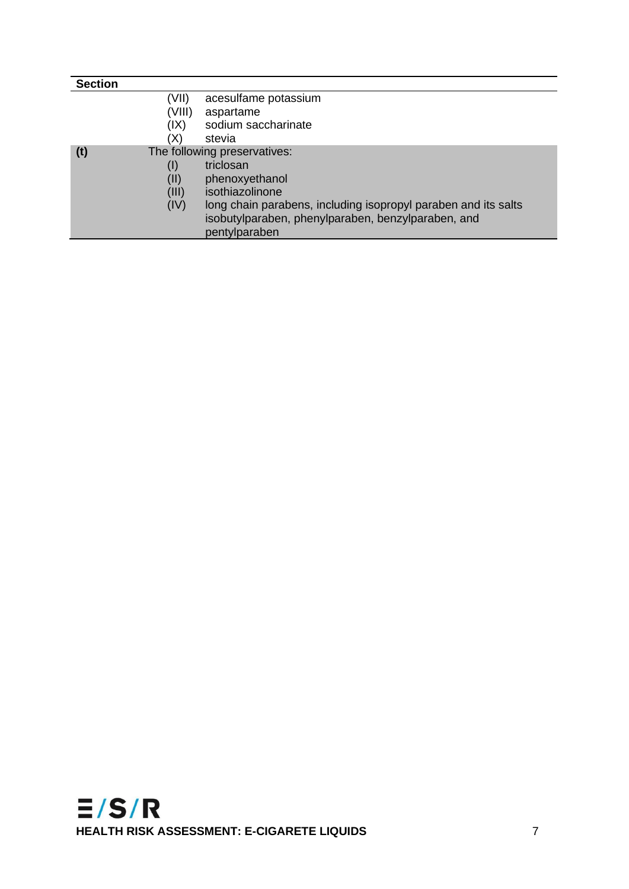| <b>Section</b>                      |        |                                                                |
|-------------------------------------|--------|----------------------------------------------------------------|
|                                     | (VII)  | acesulfame potassium                                           |
|                                     | (VIII) | aspartame                                                      |
|                                     | (IX)   | sodium saccharinate                                            |
|                                     | (X)    | stevia                                                         |
| (t)<br>The following preservatives: |        |                                                                |
|                                     | (1)    | triclosan                                                      |
|                                     | (II)   | phenoxyethanol                                                 |
|                                     | (III)  | isothiazolinone                                                |
|                                     | (IV)   | long chain parabens, including isopropyl paraben and its salts |
|                                     |        | isobutylparaben, phenylparaben, benzylparaben, and             |
|                                     |        | pentylparaben                                                  |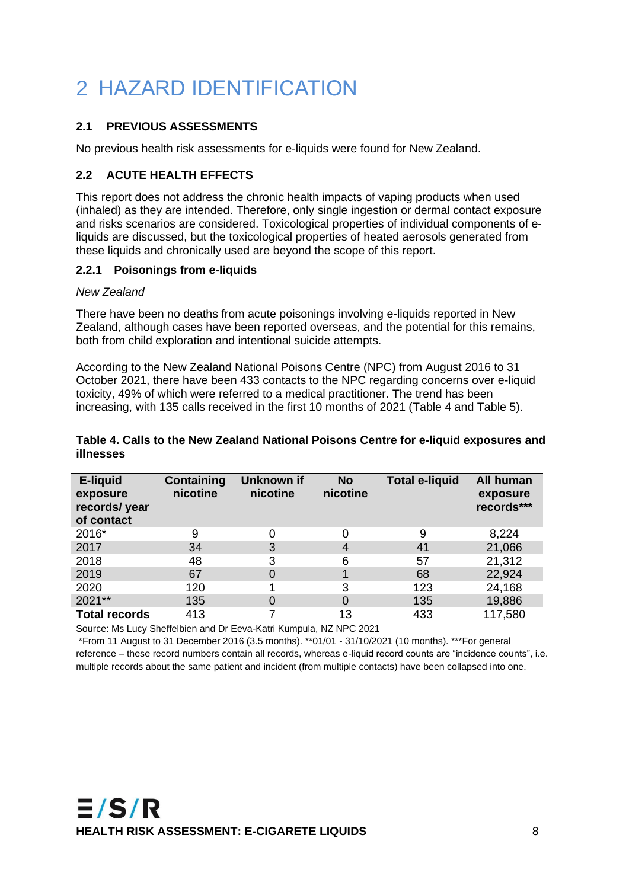# 2 HAZARD IDENTIFICATION

#### **2.1 PREVIOUS ASSESSMENTS**

No previous health risk assessments for e-liquids were found for New Zealand.

#### **2.2 ACUTE HEALTH EFFECTS**

This report does not address the chronic health impacts of vaping products when used (inhaled) as they are intended. Therefore, only single ingestion or dermal contact exposure and risks scenarios are considered. Toxicological properties of individual components of eliquids are discussed, but the toxicological properties of heated aerosols generated from these liquids and chronically used are beyond the scope of this report.

#### **2.2.1 Poisonings from e-liquids**

#### *New Zealand*

There have been no deaths from acute poisonings involving e-liquids reported in New Zealand, although cases have been reported overseas, and the potential for this remains, both from child exploration and intentional suicide attempts.

According to the New Zealand National Poisons Centre (NPC) from August 2016 to 31 October 2021, there have been 433 contacts to the NPC regarding concerns over e-liquid toxicity, 49% of which were referred to a medical practitioner. The trend has been increasing, with 135 calls received in the first 10 months of 2021 (Table 4 and Table 5).

#### <span id="page-12-0"></span>**Table 4. Calls to the New Zealand National Poisons Centre for e-liquid exposures and illnesses**

| E-liquid<br>exposure<br>records/ year<br>of contact | Containing<br>nicotine | Unknown if<br>nicotine | <b>No</b><br>nicotine | <b>Total e-liquid</b> | All human<br>exposure<br>records*** |
|-----------------------------------------------------|------------------------|------------------------|-----------------------|-----------------------|-------------------------------------|
| 2016*                                               | 9                      |                        |                       | 9                     | 8,224                               |
| 2017                                                | 34                     | 3                      | 4                     | 41                    | 21,066                              |
| 2018                                                | 48                     | 3                      | 6                     | 57                    | 21,312                              |
| 2019                                                | 67                     | 0                      |                       | 68                    | 22,924                              |
| 2020                                                | 120                    |                        | 3                     | 123                   | 24,168                              |
| 2021**                                              | 135                    | 0                      | $\Omega$              | 135                   | 19,886                              |
| <b>Total records</b>                                | 413                    |                        | 13                    | 433                   | 117,580                             |

Source: Ms Lucy Sheffelbien and Dr Eeva-Katri Kumpula, NZ NPC 2021

\*From 11 August to 31 December 2016 (3.5 months). \*\*01/01 - 31/10/2021 (10 months). \*\*\*For general reference – these record numbers contain all records, whereas e-liquid record counts are "incidence counts", i.e. multiple records about the same patient and incident (from multiple contacts) have been collapsed into one.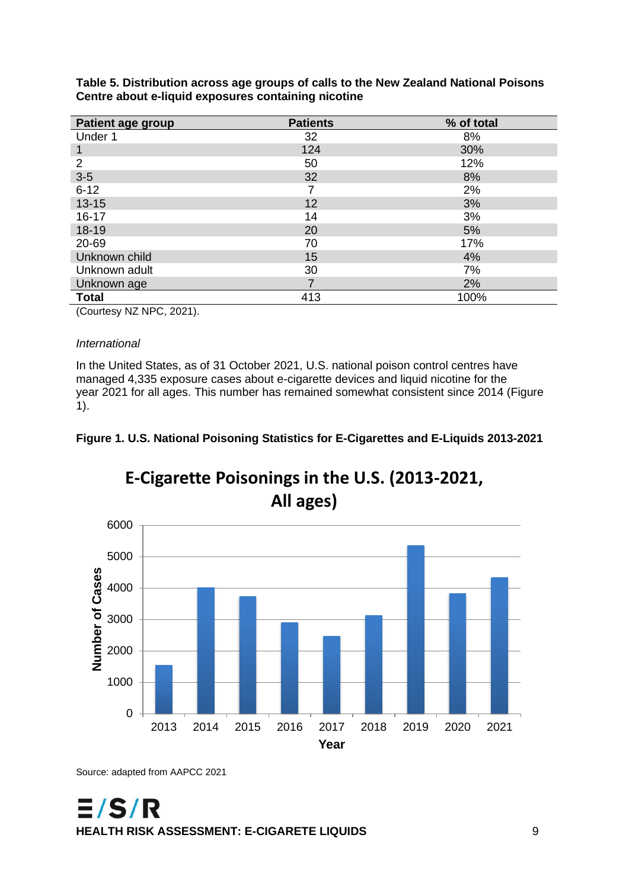<span id="page-13-0"></span>

| Table 5. Distribution across age groups of calls to the New Zealand National Poisons |  |
|--------------------------------------------------------------------------------------|--|
| Centre about e-liquid exposures containing nicotine                                  |  |

| <b>Patient age group</b> | <b>Patients</b> | % of total |
|--------------------------|-----------------|------------|
| Under 1                  | 32              | 8%         |
|                          | 124             | 30%        |
| $\overline{2}$           | 50              | 12%        |
| $3-5$                    | 32              | 8%         |
| $6 - 12$                 |                 | 2%         |
| $13 - 15$                | 12              | 3%         |
| $16 - 17$                | 14              | 3%         |
| 18-19                    | 20              | 5%         |
| 20-69                    | 70              | 17%        |
| Unknown child            | 15              | 4%         |
| Unknown adult            | 30              | 7%         |
| Unknown age              |                 | 2%         |
| <b>Total</b>             | 413             | 100%       |

(Courtesy NZ NPC, 2021).

#### *International*

In the United States, as of 31 October 2021, U.S. national poison control centres have managed 4,335 exposure cases about e-cigarette devices and liquid nicotine for the year 2021 for all ages. This number has remained somewhat consistent since 2014 (Figure 1).

<span id="page-13-1"></span>



**E-Cigarette Poisonings in the U.S. (2013-2021,** 

Source: adapted from AAPCC 2021

 $E/S/R$ **HEALTH RISK ASSESSMENT: E-CIGARETE LIQUIDS** 9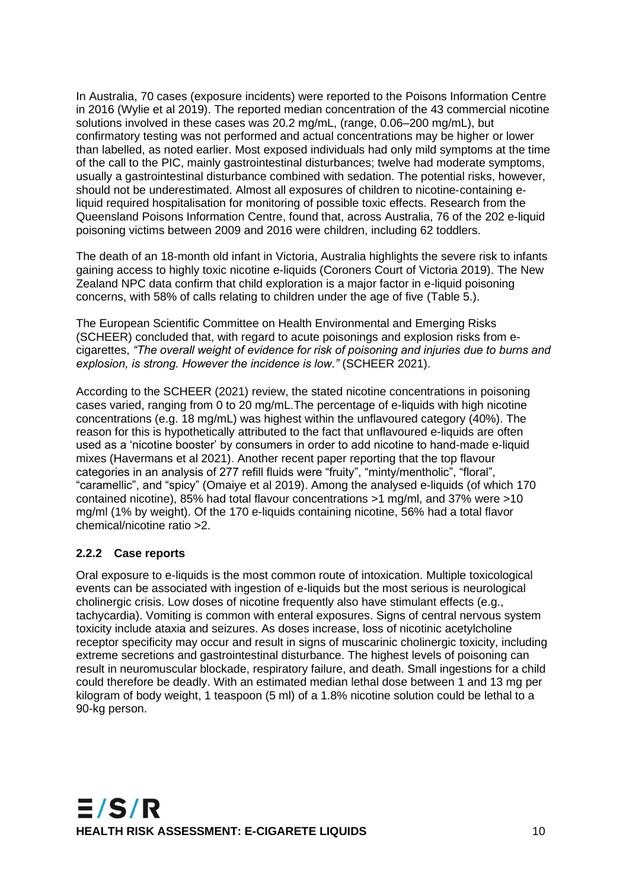In Australia, 70 cases (exposure incidents) were reported to the Poisons Information Centre in 2016 (Wylie et al 2019). The reported median concentration of the 43 commercial nicotine solutions involved in these cases was 20.2 mg/mL, (range, 0.06–200 mg/mL), but confirmatory testing was not performed and actual concentrations may be higher or lower than labelled, as noted earlier. Most exposed individuals had only mild symptoms at the time of the call to the PIC, mainly gastrointestinal disturbances; twelve had moderate symptoms, usually a gastrointestinal disturbance combined with sedation. The potential risks, however, should not be underestimated. Almost all exposures of children to nicotine-containing eliquid required hospitalisation for monitoring of possible toxic effects. Research from the Queensland Poisons Information Centre, found that, across Australia, 76 of the 202 e-liquid poisoning victims between 2009 and 2016 were children, including 62 toddlers.

The death of an 18-month old infant in Victoria, Australia highlights the severe risk to infants gaining access to highly toxic nicotine e-liquids (Coroners Court of Victoria 2019). The New Zealand NPC data confirm that child exploration is a major factor in e-liquid poisoning concerns, with 58% of calls relating to children under the age of five (Table 5.).

The European Scientific Committee on Health Environmental and Emerging Risks (SCHEER) concluded that, with regard to acute poisonings and explosion risks from ecigarettes, *"The overall weight of evidence for risk of poisoning and injuries due to burns and explosion, is strong. However the incidence is low."* (SCHEER 2021).

According to the SCHEER (2021) review, the stated nicotine concentrations in poisoning cases varied, ranging from 0 to 20 mg/mL.The percentage of e-liquids with high nicotine concentrations (e.g. 18 mg/mL) was highest within the unflavoured category (40%). The reason for this is hypothetically attributed to the fact that unflavoured e-liquids are often used as a 'nicotine booster' by consumers in order to add nicotine to hand-made e-liquid mixes (Havermans et al 2021). Another recent paper reporting that the top flavour categories in an analysis of 277 refill fluids were "fruity", "minty/mentholic", "floral", "caramellic", and "spicy" (Omaiye et al 2019). Among the analysed e-liquids (of which 170 contained nicotine), 85% had total flavour concentrations >1 mg/ml, and 37% were >10 mg/ml (1% by weight). Of the 170 e-liquids containing nicotine, 56% had a total flavor chemical/nicotine ratio >2.

#### **2.2.2 Case reports**

Oral exposure to e-liquids is the most common route of intoxication. Multiple toxicological events can be associated with ingestion of e-liquids but the most serious is neurological cholinergic crisis. Low doses of nicotine frequently also have stimulant effects (e.g., tachycardia). Vomiting is common with enteral exposures. Signs of central nervous system toxicity include ataxia and seizures. As doses increase, loss of nicotinic acetylcholine receptor specificity may occur and result in signs of muscarinic cholinergic toxicity, including extreme secretions and gastrointestinal disturbance. The highest levels of poisoning can result in neuromuscular blockade, respiratory failure, and death. Small ingestions for a child could therefore be deadly. With an estimated median lethal dose between 1 and 13 mg per kilogram of body weight, 1 teaspoon (5 ml) of a 1.8% nicotine solution could be lethal to a 90-kg person.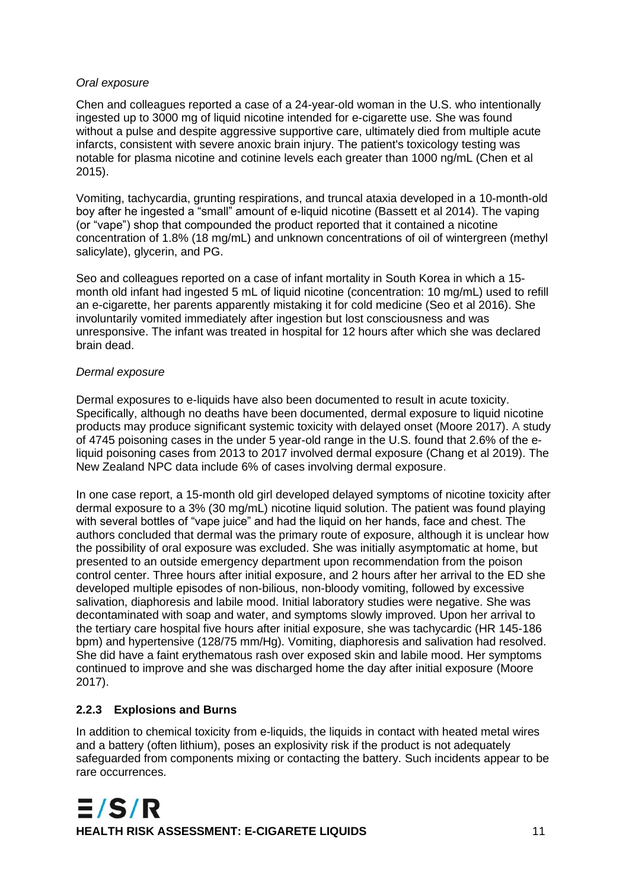#### *Oral exposure*

Chen and colleagues reported a case of a 24-year-old woman in the U.S. who intentionally ingested up to 3000 mg of liquid nicotine intended for e-cigarette use. She was found without a pulse and despite aggressive supportive care, ultimately died from multiple acute infarcts, consistent with severe anoxic brain injury. The patient's toxicology testing was notable for plasma nicotine and cotinine levels each greater than 1000 ng/mL (Chen et al 2015).

Vomiting, tachycardia, grunting respirations, and truncal ataxia developed in a 10-month-old boy after he ingested a "small" amount of e-liquid nicotine (Bassett et al 2014). The vaping (or "vape") shop that compounded the product reported that it contained a nicotine concentration of 1.8% (18 mg/mL) and unknown concentrations of oil of wintergreen (methyl salicylate), glycerin, and PG.

Seo and colleagues reported on a case of infant mortality in South Korea in which a 15 month old infant had ingested 5 mL of liquid nicotine (concentration: 10 mg/mL) used to refill an e-cigarette, her parents apparently mistaking it for cold medicine (Seo et al 2016). She involuntarily vomited immediately after ingestion but lost consciousness and was unresponsive. The infant was treated in hospital for 12 hours after which she was declared brain dead.

#### *Dermal exposure*

Dermal exposures to e-liquids have also been documented to result in acute toxicity. Specifically, although no deaths have been documented, dermal exposure to liquid nicotine products may produce significant systemic toxicity with delayed onset (Moore 2017). A study of 4745 poisoning cases in the under 5 year-old range in the U.S. found that 2.6% of the eliquid poisoning cases from 2013 to 2017 involved dermal exposure (Chang et al 2019). The New Zealand NPC data include 6% of cases involving dermal exposure.

In one case report, a 15-month old girl developed delayed symptoms of nicotine toxicity after dermal exposure to a 3% (30 mg/mL) nicotine liquid solution. The patient was found playing with several bottles of "vape juice" and had the liquid on her hands, face and chest. The authors concluded that dermal was the primary route of exposure, although it is unclear how the possibility of oral exposure was excluded. She was initially asymptomatic at home, but presented to an outside emergency department upon recommendation from the poison control center. Three hours after initial exposure, and 2 hours after her arrival to the ED she developed multiple episodes of non-bilious, non-bloody vomiting, followed by excessive salivation, diaphoresis and labile mood. Initial laboratory studies were negative. She was decontaminated with soap and water, and symptoms slowly improved. Upon her arrival to the tertiary care hospital five hours after initial exposure, she was tachycardic (HR 145-186 bpm) and hypertensive (128/75 mm/Hg). Vomiting, diaphoresis and salivation had resolved. She did have a faint erythematous rash over exposed skin and labile mood. Her symptoms continued to improve and she was discharged home the day after initial exposure (Moore 2017).

#### **2.2.3 Explosions and Burns**

In addition to chemical toxicity from e-liquids, the liquids in contact with heated metal wires and a battery (often lithium), poses an explosivity risk if the product is not adequately safeguarded from components mixing or contacting the battery. Such incidents appear to be rare occurrences.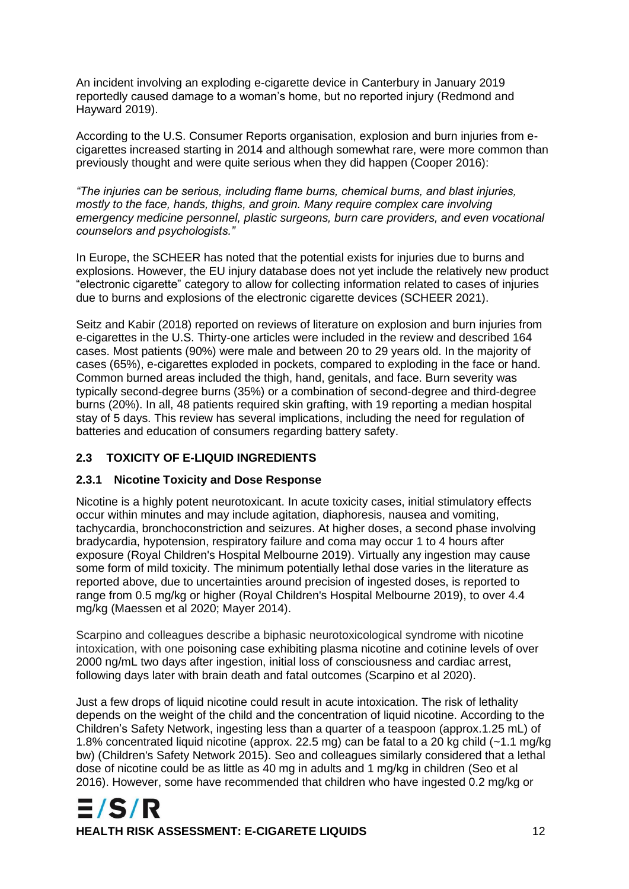An incident involving an exploding e-cigarette device in Canterbury in January 2019 reportedly caused damage to a woman's home, but no reported injury (Redmond and Hayward 2019).

According to the U.S. Consumer Reports organisation, explosion and burn injuries from ecigarettes increased starting in 2014 and although somewhat rare, were more common than previously thought and were quite serious when they did happen (Cooper 2016):

*"The injuries can be serious, including flame burns, chemical burns, and blast injuries, mostly to the face, hands, thighs, and groin. Many require complex care involving emergency medicine personnel, plastic surgeons, burn care providers, and even vocational counselors and psychologists."*

In Europe, the SCHEER has noted that the potential exists for injuries due to burns and explosions. However, the EU injury database does not yet include the relatively new product "electronic cigarette" category to allow for collecting information related to cases of injuries due to burns and explosions of the electronic cigarette devices (SCHEER 2021).

Seitz and Kabir (2018) reported on reviews of literature on explosion and burn injuries from e-cigarettes in the U.S. Thirty-one articles were included in the review and described 164 cases. Most patients (90%) were male and between 20 to 29 years old. In the majority of cases (65%), e-cigarettes exploded in pockets, compared to exploding in the face or hand. Common burned areas included the thigh, hand, genitals, and face. Burn severity was typically second-degree burns (35%) or a combination of second-degree and third-degree burns (20%). In all, 48 patients required skin grafting, with 19 reporting a median hospital stay of 5 days. This review has several implications, including the need for regulation of batteries and education of consumers regarding battery safety.

#### **2.3 TOXICITY OF E-LIQUID INGREDIENTS**

#### **2.3.1 Nicotine Toxicity and Dose Response**

Nicotine is a highly potent neurotoxicant. In acute toxicity cases, initial stimulatory effects occur within minutes and may include agitation, diaphoresis, nausea and vomiting, tachycardia, bronchoconstriction and seizures. At higher doses, a second phase involving bradycardia, hypotension, respiratory failure and coma may occur 1 to 4 hours after exposure (Royal Children's Hospital Melbourne 2019). Virtually any ingestion may cause some form of mild toxicity. The minimum potentially lethal dose varies in the literature as reported above, due to uncertainties around precision of ingested doses, is reported to range from 0.5 mg/kg or higher (Royal Children's Hospital Melbourne 2019), to over 4.4 mg/kg (Maessen et al 2020; Mayer 2014).

Scarpino and colleagues describe a biphasic neurotoxicological syndrome with nicotine intoxication, with one poisoning case exhibiting plasma nicotine and cotinine levels of over 2000 ng/mL two days after ingestion, initial loss of consciousness and cardiac arrest, following days later with brain death and fatal outcomes (Scarpino et al 2020).

Just a few drops of liquid nicotine could result in acute intoxication. The risk of lethality depends on the weight of the child and the concentration of liquid nicotine. According to the Children's Safety Network, ingesting less than a quarter of a teaspoon (approx.1.25 mL) of 1.8% concentrated liquid nicotine (approx. 22.5 mg) can be fatal to a 20 kg child (~1.1 mg/kg bw) (Children's Safety Network 2015). Seo and colleagues similarly considered that a lethal dose of nicotine could be as little as 40 mg in adults and 1 mg/kg in children (Seo et al 2016). However, some have recommended that children who have ingested 0.2 mg/kg or

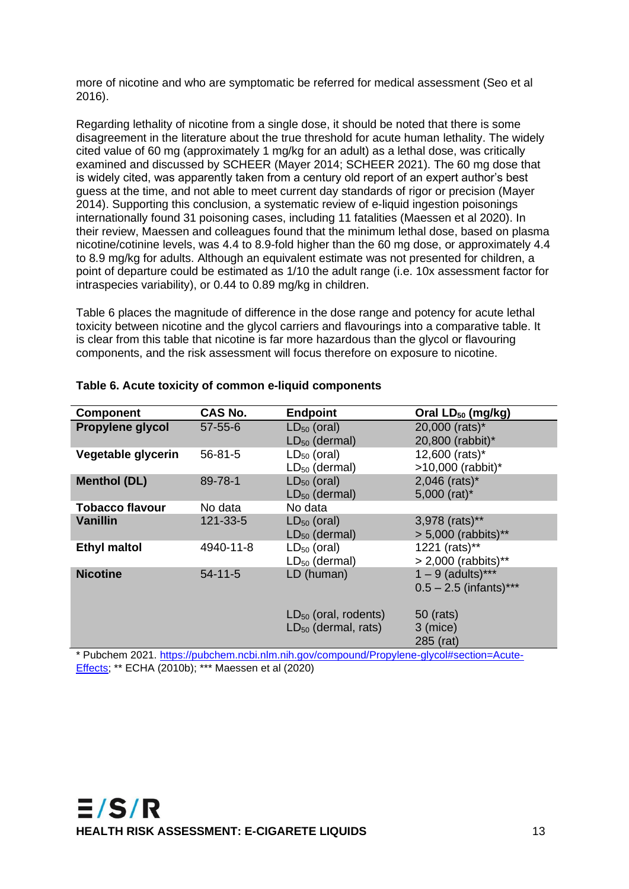more of nicotine and who are symptomatic be referred for medical assessment (Seo et al 2016).

Regarding lethality of nicotine from a single dose, it should be noted that there is some disagreement in the literature about the true threshold for acute human lethality. The widely cited value of 60 mg (approximately 1 mg/kg for an adult) as a lethal dose, was critically examined and discussed by SCHEER (Mayer 2014; SCHEER 2021). The 60 mg dose that is widely cited, was apparently taken from a century old report of an expert author's best guess at the time, and not able to meet current day standards of rigor or precision (Mayer 2014). Supporting this conclusion, a systematic review of e-liquid ingestion poisonings internationally found 31 poisoning cases, including 11 fatalities (Maessen et al 2020). In their review, Maessen and colleagues found that the minimum lethal dose, based on plasma nicotine/cotinine levels, was 4.4 to 8.9-fold higher than the 60 mg dose, or approximately 4.4 to 8.9 mg/kg for adults. Although an equivalent estimate was not presented for children, a point of departure could be estimated as 1/10 the adult range (i.e. 10x assessment factor for intraspecies variability), or 0.44 to 0.89 mg/kg in children.

Table 6 places the magnitude of difference in the dose range and potency for acute lethal toxicity between nicotine and the glycol carriers and flavourings into a comparative table. It is clear from this table that nicotine is far more hazardous than the glycol or flavouring components, and the risk assessment will focus therefore on exposure to nicotine.

| <b>Component</b>       | <b>CAS No.</b> | <b>Endpoint</b>           | Oral LD <sub>50</sub> (mg/kg) |
|------------------------|----------------|---------------------------|-------------------------------|
| Propylene glycol       | $57 - 55 - 6$  | $LD_{50}$ (oral)          | 20,000 (rats)*                |
|                        |                | $LD_{50}$ (dermal)        | 20,800 (rabbit)*              |
| Vegetable glycerin     | $56 - 81 - 5$  | $LD_{50}$ (oral)          | 12,600 (rats)*                |
|                        |                | $LD_{50}$ (dermal)        | >10,000 (rabbit)*             |
| <b>Menthol (DL)</b>    | 89-78-1        | $LD_{50}$ (oral)          | $2,046$ (rats)*               |
|                        |                | $LD_{50}$ (dermal)        | 5,000 (rat)*                  |
| <b>Tobacco flavour</b> | No data        | No data                   |                               |
| <b>Vanillin</b>        | $121 - 33 - 5$ | $LD_{50}$ (oral)          | 3,978 (rats)**                |
|                        |                | $LD_{50}$ (dermal)        | > 5,000 (rabbits)**           |
| <b>Ethyl maltol</b>    | 4940-11-8      | $LD_{50}$ (oral)          | 1221 (rats)**                 |
|                        |                | $LD_{50}$ (dermal)        | $> 2,000$ (rabbits)**         |
| <b>Nicotine</b>        | $54 - 11 - 5$  | LD (human)                | $1 - 9$ (adults)***           |
|                        |                |                           | $0.5 - 2.5$ (infants)***      |
|                        |                |                           |                               |
|                        |                | $LD_{50}$ (oral, rodents) | 50 (rats)                     |
|                        |                | $LD_{50}$ (dermal, rats)  | 3 (mice)                      |
|                        |                |                           | 285 (rat)                     |

#### <span id="page-17-0"></span>**Table 6. Acute toxicity of common e-liquid components**

\* Pubchem 2021. [https://pubchem.ncbi.nlm.nih.gov/compound/Propylene-glycol#section=Acute-](https://pubchem.ncbi.nlm.nih.gov/compound/Propylene-glycol#section=Acute-Effects)[Effects;](https://pubchem.ncbi.nlm.nih.gov/compound/Propylene-glycol#section=Acute-Effects) \*\* ECHA (2010b); \*\*\* Maessen et al (2020)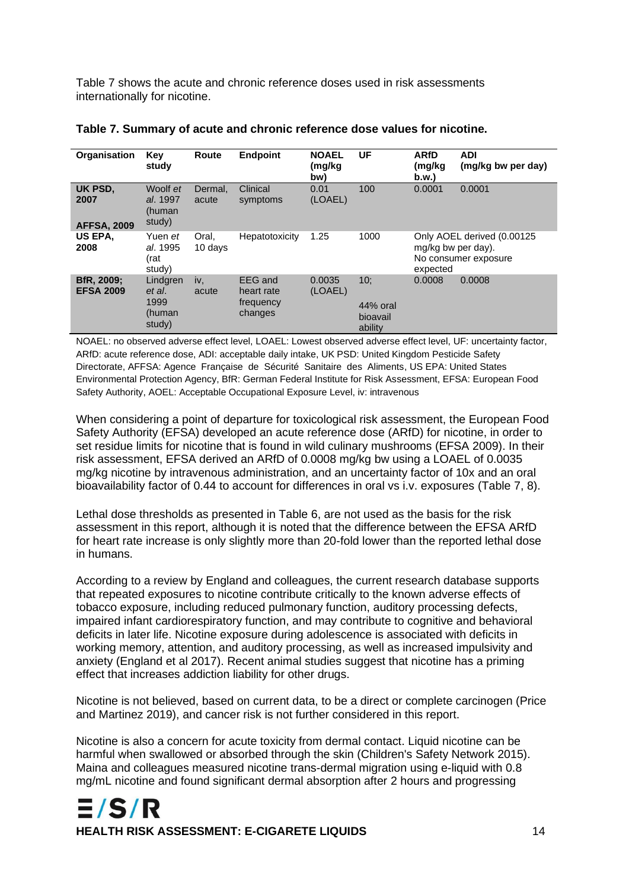Table 7 shows the acute and chronic reference doses used in risk assessments internationally for nicotine.

| Organisation                          | Key<br>study                                   | <b>Route</b>     | <b>Endpoint</b>                               | <b>NOAEL</b><br>(mg/kg<br>bw) | UF                                     | <b>ARfD</b><br>(mg/kg<br>b.w.  | <b>ADI</b><br>(mg/kg bw per day)                   |
|---------------------------------------|------------------------------------------------|------------------|-----------------------------------------------|-------------------------------|----------------------------------------|--------------------------------|----------------------------------------------------|
| UK PSD,<br>2007<br><b>AFFSA, 2009</b> | Woolf et<br>al. 1997<br>(human<br>study)       | Dermal.<br>acute | Clinical<br>symptoms                          | 0.01<br>(LOAEL)               | 100                                    | 0.0001                         | 0.0001                                             |
| US EPA.<br>2008                       | Yuen <i>et</i><br>al. 1995<br>(rat<br>study)   | Oral.<br>10 days | Hepatotoxicity                                | 1.25                          | 1000                                   | mg/kg bw per day).<br>expected | Only AOEL derived (0.00125<br>No consumer exposure |
| BfR, 2009;<br><b>EFSA 2009</b>        | Lindgren<br>et al.<br>1999<br>(human<br>study) | iv,<br>acute     | EEG and<br>heart rate<br>frequency<br>changes | 0.0035<br>(LOAEL)             | 10:<br>44% oral<br>bioavail<br>ability | 0.0008                         | 0.0008                                             |

<span id="page-18-0"></span>

| Table 7. Summary of acute and chronic reference dose values for nicotine. |
|---------------------------------------------------------------------------|
|---------------------------------------------------------------------------|

NOAEL: no observed adverse effect level, LOAEL: Lowest observed adverse effect level, UF: uncertainty factor, ARfD: acute reference dose, ADI: acceptable daily intake, UK PSD: United Kingdom Pesticide Safety Directorate, AFFSA: Agence Française de Sécurité Sanitaire des Aliments, US EPA: United States Environmental Protection Agency, BfR: German Federal Institute for Risk Assessment, EFSA: European Food Safety Authority, AOEL: Acceptable Occupational Exposure Level, iv: intravenous

When considering a point of departure for toxicological risk assessment, the European Food Safety Authority (EFSA) developed an acute reference dose (ARfD) for nicotine, in order to set residue limits for nicotine that is found in wild culinary mushrooms (EFSA 2009). In their risk assessment, EFSA derived an ARfD of 0.0008 mg/kg bw using a LOAEL of 0.0035 mg/kg nicotine by intravenous administration, and an uncertainty factor of 10x and an oral bioavailability factor of 0.44 to account for differences in oral vs i.v. exposures (Table 7, 8).

Lethal dose thresholds as presented in Table 6, are not used as the basis for the risk assessment in this report, although it is noted that the difference between the EFSA ARfD for heart rate increase is only slightly more than 20-fold lower than the reported lethal dose in humans.

According to a review by England and colleagues, the current research database supports that repeated exposures to nicotine contribute critically to the known adverse effects of tobacco exposure, including reduced pulmonary function, auditory processing defects, impaired infant cardiorespiratory function, and may contribute to cognitive and behavioral deficits in later life. Nicotine exposure during adolescence is associated with deficits in working memory, attention, and auditory processing, as well as increased impulsivity and anxiety (England et al 2017). Recent animal studies suggest that nicotine has a priming effect that increases addiction liability for other drugs.

Nicotine is not believed, based on current data, to be a direct or complete carcinogen (Price and Martinez 2019), and cancer risk is not further considered in this report.

Nicotine is also a concern for acute toxicity from dermal contact. Liquid nicotine can be harmful when swallowed or absorbed through the skin (Children's Safety Network 2015). Maina and colleagues measured nicotine trans-dermal migration using e-liquid with 0.8 mg/mL nicotine and found significant dermal absorption after 2 hours and progressing

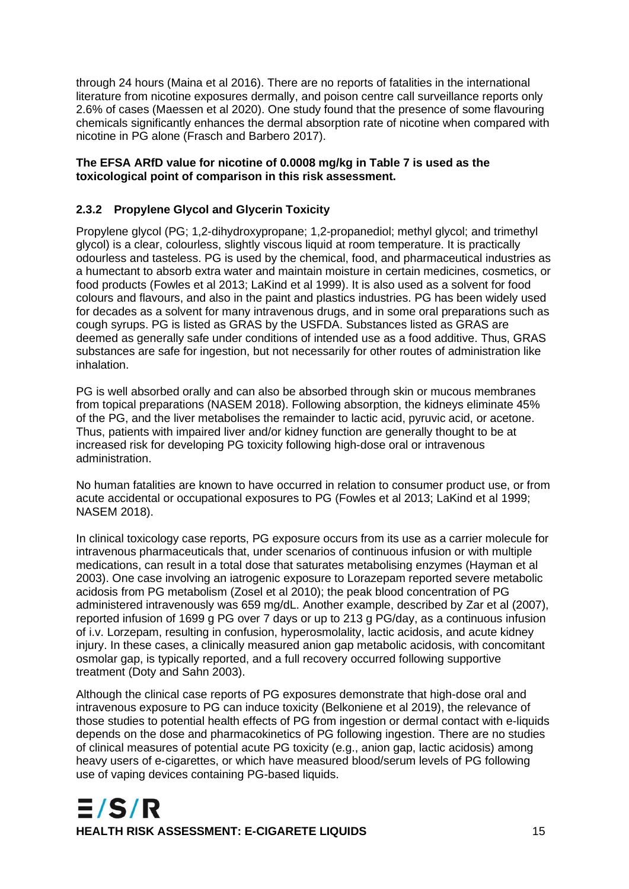through 24 hours (Maina et al 2016). There are no reports of fatalities in the international literature from nicotine exposures dermally, and poison centre call surveillance reports only 2.6% of cases (Maessen et al 2020). One study found that the presence of some flavouring chemicals significantly enhances the dermal absorption rate of nicotine when compared with nicotine in PG alone (Frasch and Barbero 2017).

#### **The EFSA ARfD value for nicotine of 0.0008 mg/kg in Table 7 is used as the toxicological point of comparison in this risk assessment.**

#### **2.3.2 Propylene Glycol and Glycerin Toxicity**

Propylene glycol (PG; 1,2-dihydroxypropane; 1,2-propanediol; methyl glycol; and trimethyl glycol) is a clear, colourless, slightly viscous liquid at room temperature. It is practically odourless and tasteless. PG is used by the chemical, food, and pharmaceutical industries as a humectant to absorb extra water and maintain moisture in certain medicines, cosmetics, or food products (Fowles et al 2013; LaKind et al 1999). It is also used as a solvent for food colours and flavours, and also in the paint and plastics industries. PG has been widely used for decades as a solvent for many intravenous drugs, and in some oral preparations such as cough syrups. PG is listed as GRAS by the USFDA. Substances listed as GRAS are deemed as generally safe under conditions of intended use as a food additive. Thus, GRAS substances are safe for ingestion, but not necessarily for other routes of administration like inhalation.

PG is well absorbed orally and can also be absorbed through skin or mucous membranes from topical preparations (NASEM 2018). Following absorption, the kidneys eliminate 45% of the PG, and the liver metabolises the remainder to lactic acid, pyruvic acid, or acetone. Thus, patients with impaired liver and/or kidney function are generally thought to be at increased risk for developing PG toxicity following high-dose oral or intravenous administration.

No human fatalities are known to have occurred in relation to consumer product use, or from acute accidental or occupational exposures to PG (Fowles et al 2013; LaKind et al 1999; NASEM 2018).

In clinical toxicology case reports, PG exposure occurs from its use as a carrier molecule for intravenous pharmaceuticals that, under scenarios of continuous infusion or with multiple medications, can result in a total dose that saturates metabolising enzymes (Hayman et al 2003). One case involving an iatrogenic exposure to Lorazepam reported severe metabolic acidosis from PG metabolism (Zosel et al 2010); the peak blood concentration of PG administered intravenously was 659 mg/dL. Another example, described by Zar et al (2007), reported infusion of 1699 g PG over 7 days or up to 213 g PG/day, as a continuous infusion of i.v. Lorzepam, resulting in confusion, hyperosmolality, lactic acidosis, and acute kidney injury. In these cases, a clinically measured anion gap metabolic acidosis, with concomitant osmolar gap, is typically reported, and a full recovery occurred following supportive treatment (Doty and Sahn 2003).

Although the clinical case reports of PG exposures demonstrate that high-dose oral and intravenous exposure to PG can induce toxicity (Belkoniene et al 2019), the relevance of those studies to potential health effects of PG from ingestion or dermal contact with e-liquids depends on the dose and pharmacokinetics of PG following ingestion. There are no studies of clinical measures of potential acute PG toxicity (e.g., anion gap, lactic acidosis) among heavy users of e-cigarettes, or which have measured blood/serum levels of PG following use of vaping devices containing PG-based liquids.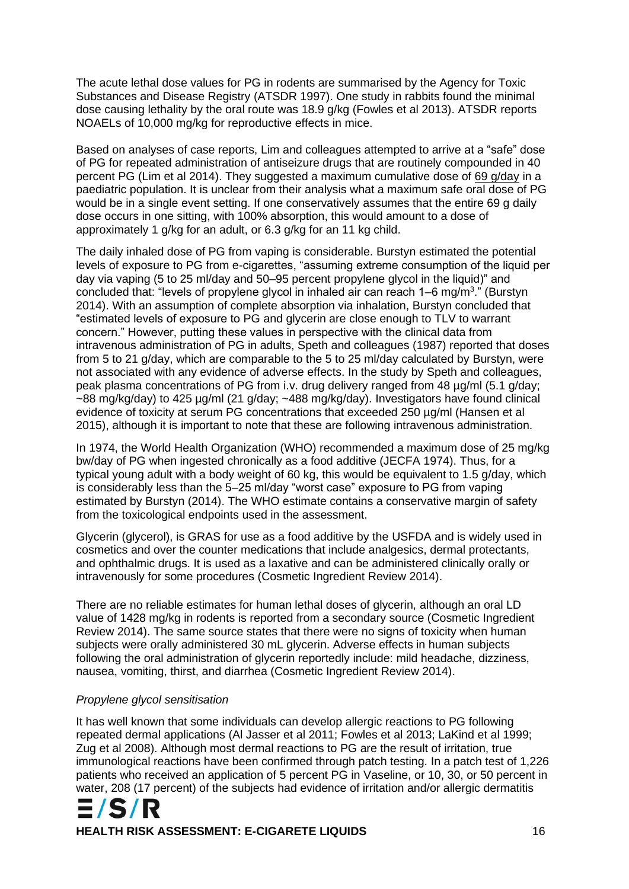The acute lethal dose values for PG in rodents are summarised by the Agency for Toxic Substances and Disease Registry (ATSDR 1997). One study in rabbits found the minimal dose causing lethality by the oral route was 18.9 g/kg (Fowles et al 2013). ATSDR reports NOAELs of 10,000 mg/kg for reproductive effects in mice.

Based on analyses of case reports, Lim and colleagues attempted to arrive at a "safe" dose of PG for repeated administration of antiseizure drugs that are routinely compounded in 40 percent PG (Lim et al 2014). They suggested a maximum cumulative dose of 69 g/day in a paediatric population. It is unclear from their analysis what a maximum safe oral dose of PG would be in a single event setting. If one conservatively assumes that the entire 69 g daily dose occurs in one sitting, with 100% absorption, this would amount to a dose of approximately 1 g/kg for an adult, or 6.3 g/kg for an 11 kg child.

The daily inhaled dose of PG from vaping is considerable. Burstyn estimated the potential levels of exposure to PG from e-cigarettes, "assuming extreme consumption of the liquid per day via vaping (5 to 25 ml/day and 50–95 percent propylene glycol in the liquid)" and concluded that: "levels of propylene glycol in inhaled air can reach 1–6 mg/m<sup>3</sup>." (Burstyn 2014). With an assumption of complete absorption via inhalation, Burstyn concluded that "estimated levels of exposure to PG and glycerin are close enough to TLV to warrant concern." However, putting these values in perspective with the clinical data from intravenous administration of PG in adults, Speth and colleagues (1987) reported that doses from 5 to 21 g/day, which are comparable to the 5 to 25 ml/day calculated by Burstyn, were not associated with any evidence of adverse effects. In the study by Speth and colleagues, peak plasma concentrations of PG from i.v. drug delivery ranged from 48 µg/ml (5.1 g/day; ~88 mg/kg/day) to 425 µg/ml (21 g/day; ~488 mg/kg/day). Investigators have found clinical evidence of toxicity at serum PG concentrations that exceeded 250 µg/ml (Hansen et al 2015), although it is important to note that these are following intravenous administration.

In 1974, the World Health Organization (WHO) recommended a maximum dose of 25 mg/kg bw/day of PG when ingested chronically as a food additive (JECFA 1974). Thus, for a typical young adult with a body weight of 60 kg, this would be equivalent to 1.5 g/day, which is considerably less than the 5–25 ml/day "worst case" exposure to PG from vaping estimated by Burstyn (2014). The WHO estimate contains a conservative margin of safety from the toxicological endpoints used in the assessment.

Glycerin (glycerol), is GRAS for use as a food additive by the USFDA and is widely used in cosmetics and over the counter medications that include analgesics, dermal protectants, and ophthalmic drugs. It is used as a laxative and can be administered clinically orally or intravenously for some procedures (Cosmetic Ingredient Review 2014).

There are no reliable estimates for human lethal doses of glycerin, although an oral LD value of 1428 mg/kg in rodents is reported from a secondary source (Cosmetic Ingredient Review 2014). The same source states that there were no signs of toxicity when human subjects were orally administered 30 mL glycerin. Adverse effects in human subjects following the oral administration of glycerin reportedly include: mild headache, dizziness, nausea, vomiting, thirst, and diarrhea (Cosmetic Ingredient Review 2014).

#### *Propylene glycol sensitisation*

It has well known that some individuals can develop allergic reactions to PG following repeated dermal applications (Al Jasser et al 2011; Fowles et al 2013; LaKind et al 1999; Zug et al 2008). Although most dermal reactions to PG are the result of irritation, true immunological reactions have been confirmed through patch testing. In a patch test of 1,226 patients who received an application of 5 percent PG in Vaseline, or 10, 30, or 50 percent in water, 208 (17 percent) of the subjects had evidence of irritation and/or allergic dermatitis



**HEALTH RISK ASSESSMENT: E-CIGARETE LIQUIDS** 16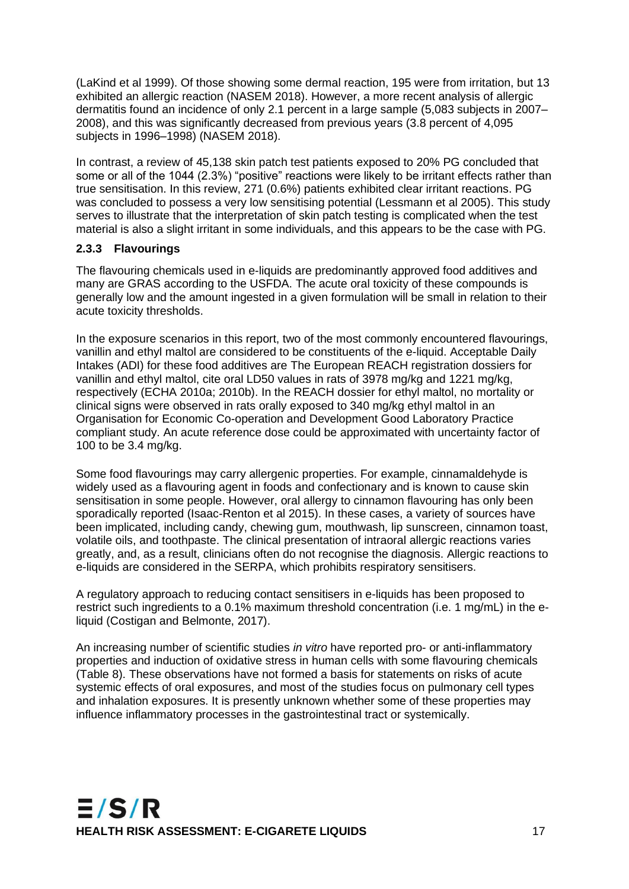(LaKind et al 1999). Of those showing some dermal reaction, 195 were from irritation, but 13 exhibited an allergic reaction (NASEM 2018). However, a more recent analysis of allergic dermatitis found an incidence of only 2.1 percent in a large sample (5,083 subjects in 2007– 2008), and this was significantly decreased from previous years (3.8 percent of 4,095 subjects in 1996–1998) (NASEM 2018).

In contrast, a review of 45,138 skin patch test patients exposed to 20% PG concluded that some or all of the 1044 (2.3%) "positive" reactions were likely to be irritant effects rather than true sensitisation. In this review, 271 (0.6%) patients exhibited clear irritant reactions. PG was concluded to possess a very low sensitising potential (Lessmann et al 2005). This study serves to illustrate that the interpretation of skin patch testing is complicated when the test material is also a slight irritant in some individuals, and this appears to be the case with PG.

#### **2.3.3 Flavourings**

The flavouring chemicals used in e-liquids are predominantly approved food additives and many are GRAS according to the USFDA. The acute oral toxicity of these compounds is generally low and the amount ingested in a given formulation will be small in relation to their acute toxicity thresholds.

In the exposure scenarios in this report, two of the most commonly encountered flavourings, vanillin and ethyl maltol are considered to be constituents of the e-liquid. Acceptable Daily Intakes (ADI) for these food additives are The European REACH registration dossiers for vanillin and ethyl maltol, cite oral LD50 values in rats of 3978 mg/kg and 1221 mg/kg, respectively (ECHA 2010a; 2010b). In the REACH dossier for ethyl maltol, no mortality or clinical signs were observed in rats orally exposed to 340 mg/kg ethyl maltol in an Organisation for Economic Co-operation and Development Good Laboratory Practice compliant study. An acute reference dose could be approximated with uncertainty factor of 100 to be 3.4 mg/kg.

Some food flavourings may carry allergenic properties. For example, cinnamaldehyde is widely used as a flavouring agent in foods and confectionary and is known to cause skin sensitisation in some people. However, oral allergy to cinnamon flavouring has only been sporadically reported (Isaac-Renton et al 2015). In these cases, a variety of sources have been implicated, including candy, chewing gum, mouthwash, lip sunscreen, cinnamon toast, volatile oils, and toothpaste. The clinical presentation of intraoral allergic reactions varies greatly, and, as a result, clinicians often do not recognise the diagnosis. Allergic reactions to e-liquids are considered in the SERPA, which prohibits respiratory sensitisers.

A regulatory approach to reducing contact sensitisers in e-liquids has been proposed to restrict such ingredients to a 0.1% maximum threshold concentration (i.e. 1 mg/mL) in the eliquid (Costigan and Belmonte, 2017).

An increasing number of scientific studies *in vitro* have reported pro- or anti-inflammatory properties and induction of oxidative stress in human cells with some flavouring chemicals (Table 8). These observations have not formed a basis for statements on risks of acute systemic effects of oral exposures, and most of the studies focus on pulmonary cell types and inhalation exposures. It is presently unknown whether some of these properties may influence inflammatory processes in the gastrointestinal tract or systemically.

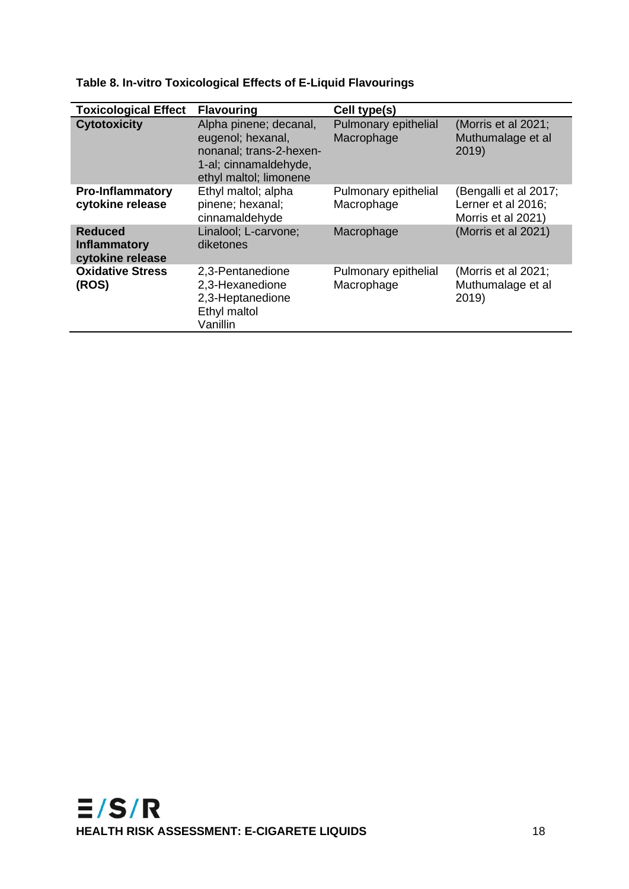| <b>Toxicological Effect</b>                               | <b>Flavouring</b>                                                                                                         | Cell type(s)                       |                                                                   |
|-----------------------------------------------------------|---------------------------------------------------------------------------------------------------------------------------|------------------------------------|-------------------------------------------------------------------|
| <b>Cytotoxicity</b>                                       | Alpha pinene; decanal,<br>eugenol; hexanal,<br>nonanal; trans-2-hexen-<br>1-al; cinnamaldehyde,<br>ethyl maltol; limonene | Pulmonary epithelial<br>Macrophage | (Morris et al 2021;<br>Muthumalage et al<br>2019)                 |
| <b>Pro-Inflammatory</b><br>cytokine release               | Ethyl maltol; alpha<br>pinene; hexanal;<br>cinnamaldehyde                                                                 | Pulmonary epithelial<br>Macrophage | (Bengalli et al 2017;<br>Lerner et al 2016;<br>Morris et al 2021) |
| <b>Reduced</b><br><b>Inflammatory</b><br>cytokine release | Linalool; L-carvone;<br>diketones                                                                                         | Macrophage                         | (Morris et al 2021)                                               |
| <b>Oxidative Stress</b><br>(ROS)                          | 2,3-Pentanedione<br>2,3-Hexanedione<br>2,3-Heptanedione<br>Ethyl maltol<br>Vanillin                                       | Pulmonary epithelial<br>Macrophage | (Morris et al 2021;<br>Muthumalage et al<br>2019)                 |

<span id="page-22-0"></span>**Table 8. In-vitro Toxicological Effects of E-Liquid Flavourings**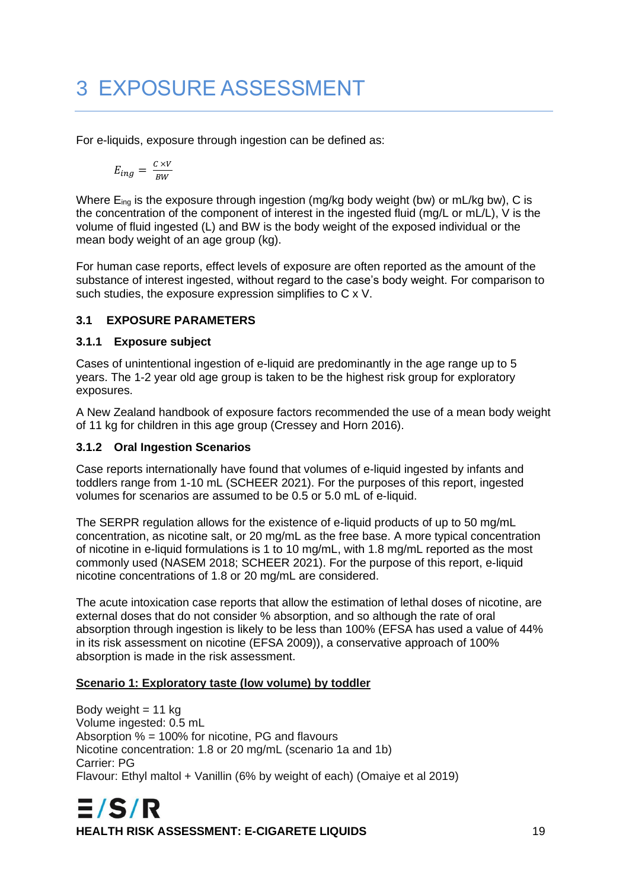# 3 EXPOSURE ASSESSMENT

For e-liquids, exposure through ingestion can be defined as:

$$
E_{ing} = \frac{c \times V}{BW}
$$

Where  $E_{\text{ing}}$  is the exposure through ingestion (mg/kg body weight (bw) or mL/kg bw), C is the concentration of the component of interest in the ingested fluid (mg/L or mL/L), V is the volume of fluid ingested (L) and BW is the body weight of the exposed individual or the mean body weight of an age group (kg).

For human case reports, effect levels of exposure are often reported as the amount of the substance of interest ingested, without regard to the case's body weight. For comparison to such studies, the exposure expression simplifies to C x V.

#### **3.1 EXPOSURE PARAMETERS**

#### **3.1.1 Exposure subject**

Cases of unintentional ingestion of e-liquid are predominantly in the age range up to 5 years. The 1-2 year old age group is taken to be the highest risk group for exploratory exposures.

A New Zealand handbook of exposure factors recommended the use of a mean body weight of 11 kg for children in this age group (Cressey and Horn 2016).

#### **3.1.2 Oral Ingestion Scenarios**

Case reports internationally have found that volumes of e-liquid ingested by infants and toddlers range from 1-10 mL (SCHEER 2021). For the purposes of this report, ingested volumes for scenarios are assumed to be 0.5 or 5.0 mL of e-liquid.

The SERPR regulation allows for the existence of e-liquid products of up to 50 mg/mL concentration, as nicotine salt, or 20 mg/mL as the free base. A more typical concentration of nicotine in e-liquid formulations is 1 to 10 mg/mL, with 1.8 mg/mL reported as the most commonly used (NASEM 2018; SCHEER 2021). For the purpose of this report, e-liquid nicotine concentrations of 1.8 or 20 mg/mL are considered.

The acute intoxication case reports that allow the estimation of lethal doses of nicotine, are external doses that do not consider % absorption, and so although the rate of oral absorption through ingestion is likely to be less than 100% (EFSA has used a value of 44% in its risk assessment on nicotine (EFSA 2009)), a conservative approach of 100% absorption is made in the risk assessment.

#### **Scenario 1: Exploratory taste (low volume) by toddler**

Body weight  $= 11$  kg Volume ingested: 0.5 mL Absorption % = 100% for nicotine, PG and flavours Nicotine concentration: 1.8 or 20 mg/mL (scenario 1a and 1b) Carrier: PG Flavour: Ethyl maltol + Vanillin (6% by weight of each) (Omaiye et al 2019)

 $E/S/R$ **HEALTH RISK ASSESSMENT: E-CIGARETE LIQUIDS** 19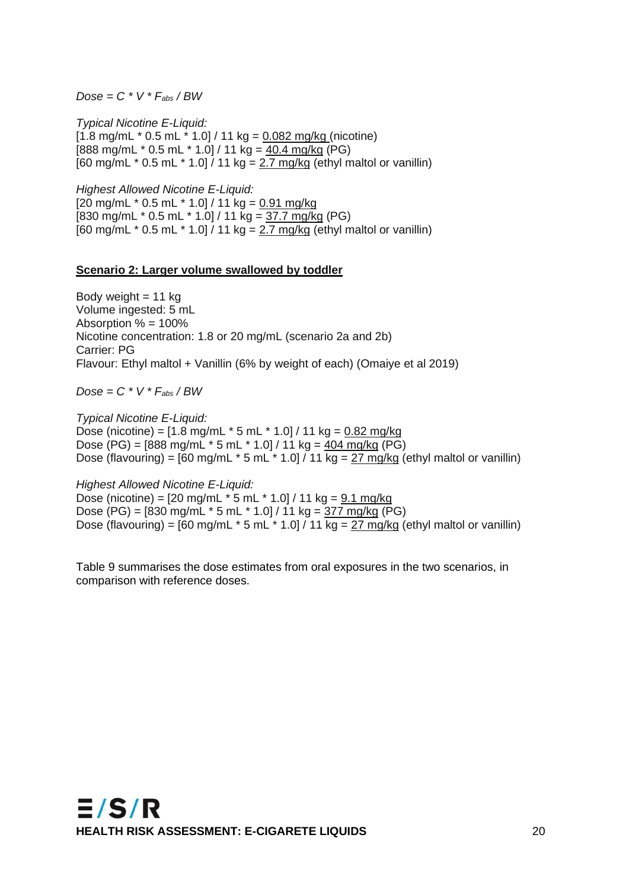$Dose = C * V * F_{abs} / BW$ 

*Typical Nicotine E-Liquid:*  $[1.8 \text{ mg/mL} * 0.5 \text{ mL} * 1.0] / 11 \text{ kg} = 0.082 \text{ mg/kg}$  (nicotine) [888 mg/mL  $*$  0.5 mL  $*$  1.0] / 11 kg = 40.4 mg/kg (PG)  $[60 \text{ mg/mL} * 0.5 \text{ mL} * 1.0]/11 \text{ kg} = 2.7 \text{ mg/kg}$  (ethyl maltol or vanillin)

*Highest Allowed Nicotine E-Liquid:*

 $[20 \text{ mg/mL} * 0.5 \text{ mL} * 1.0] / 11 \text{ kg} = 0.91 \text{ mg/kg}$  $[830 \text{ mg/mL} * 0.5 \text{ mL} * 1.0]/11 \text{ kg} = 37.7 \text{ mg/kg}$  (PG) [60 mg/mL  $*$  0.5 mL  $*$  1.0]  $/$  11 kg =  $2.7$  mg/kg (ethyl maltol or vanillin)

#### **Scenario 2: Larger volume swallowed by toddler**

Body weight  $= 11$  kg Volume ingested: 5 mL Absorption % = 100% Nicotine concentration: 1.8 or 20 mg/mL (scenario 2a and 2b) Carrier: PG Flavour: Ethyl maltol + Vanillin (6% by weight of each) (Omaiye et al 2019)

*Dose = C \* V \* Fabs / BW*

*Typical Nicotine E-Liquid:* Dose (nicotine) =  $[1.8 \text{ mg/mL} * 5 \text{ mL} * 1.0] / 11 \text{ kg} = 0.82 \text{ mg/kg}$ Dose (PG) = [888 mg/mL \* 5 mL \* 1.0] / 11 kg = 404 mg/kg (PG) Dose (flavouring) =  $[60 \text{ mg/mL} * 5 \text{ mL} * 1.0] / 11 \text{ kg} = 27 \text{ mg/kg}$  (ethyl maltol or vanillin)

*Highest Allowed Nicotine E-Liquid:* Dose (nicotine) =  $[20 \text{ mg/mL} * 5 \text{ mL} * 1.0] / 11 \text{ kg} = 9.1 \text{ mg/kg}$ Dose (PG) =  $[830 \text{ mg/mL} * 5 \text{ mL} * 1.0] / 11 \text{ kg} = \frac{377 \text{ mg/kg}}{10}$  (PG) Dose (flavouring) =  $[60 \text{ mg/mL} * 5 \text{ mL} * 1.0] / 11 \text{ kg} = 27 \text{ mg/kg}$  (ethyl maltol or vanillin)

Table 9 summarises the dose estimates from oral exposures in the two scenarios, in comparison with reference doses.

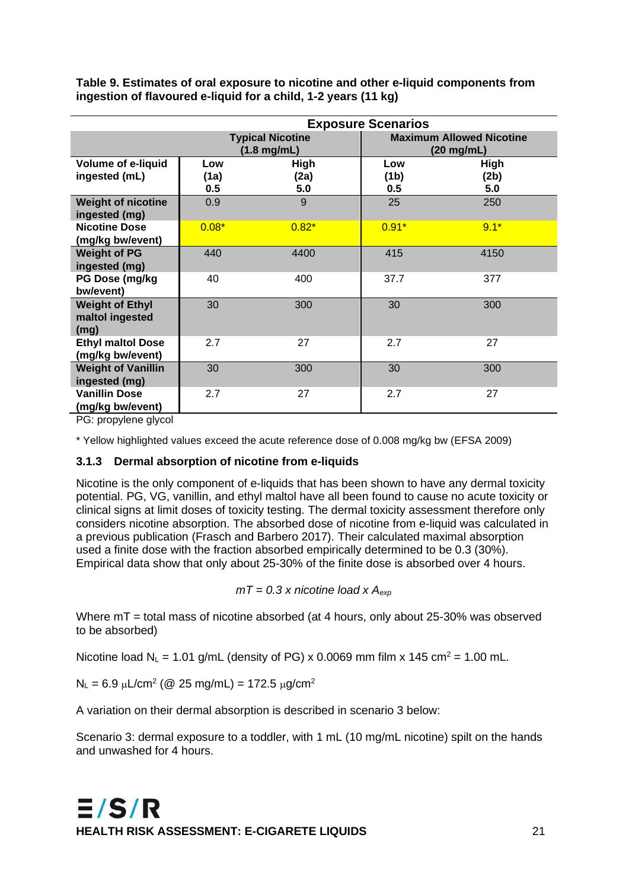|                                                   | <b>Exposure Scenarios</b> |                                          |                                                         |                     |  |
|---------------------------------------------------|---------------------------|------------------------------------------|---------------------------------------------------------|---------------------|--|
|                                                   |                           | <b>Typical Nicotine</b><br>$(1.8$ mg/mL) | <b>Maximum Allowed Nicotine</b><br>$(20 \text{ mg/mL})$ |                     |  |
| <b>Volume of e-liquid</b><br>ingested (mL)        | Low<br>(1a)<br>0.5        | <b>High</b><br>(2a)<br>5.0               | Low<br>(1 <sub>b</sub> )<br>0.5                         | High<br>(2b)<br>5.0 |  |
| <b>Weight of nicotine</b><br>ingested (mg)        | 0.9                       | 9                                        | 25                                                      | 250                 |  |
| <b>Nicotine Dose</b><br>(mg/kg bw/event)          | $0.08*$                   | $0.82*$                                  | $0.91*$                                                 | $9.1*$              |  |
| <b>Weight of PG</b><br>ingested (mg)              | 440                       | 4400                                     | 415                                                     | 4150                |  |
| PG Dose (mg/kg<br>bw/event)                       | 40                        | 400                                      | 37.7                                                    | 377                 |  |
| <b>Weight of Ethyl</b><br>maltol ingested<br>(mg) | 30                        | 300                                      | 30                                                      | 300                 |  |
| <b>Ethyl maltol Dose</b><br>(mg/kg bw/event)      | 2.7                       | 27                                       | 2.7                                                     | 27                  |  |
| <b>Weight of Vanillin</b><br>ingested (mg)        | 30                        | 300                                      | 30                                                      | 300                 |  |
| <b>Vanillin Dose</b><br>(mg/kg bw/event)          | 2.7                       | 27                                       | 2.7                                                     | 27                  |  |

<span id="page-25-0"></span>**Table 9. Estimates of oral exposure to nicotine and other e-liquid components from ingestion of flavoured e-liquid for a child, 1-2 years (11 kg)**

PG: propylene glycol

\* Yellow highlighted values exceed the acute reference dose of 0.008 mg/kg bw (EFSA 2009)

#### **3.1.3 Dermal absorption of nicotine from e-liquids**

Nicotine is the only component of e-liquids that has been shown to have any dermal toxicity potential. PG, VG, vanillin, and ethyl maltol have all been found to cause no acute toxicity or clinical signs at limit doses of toxicity testing. The dermal toxicity assessment therefore only considers nicotine absorption. The absorbed dose of nicotine from e-liquid was calculated in a previous publication (Frasch and Barbero 2017). Their calculated maximal absorption used a finite dose with the fraction absorbed empirically determined to be 0.3 (30%). Empirical data show that only about 25-30% of the finite dose is absorbed over 4 hours.

*mT = 0.3 x nicotine load x Aexp*

Where  $mT =$  total mass of nicotine absorbed (at 4 hours, only about 25-30% was observed to be absorbed)

Nicotine load N<sub>L</sub> = 1.01 g/mL (density of PG) x 0.0069 mm film x 145 cm<sup>2</sup> = 1.00 mL.

 $N_L = 6.9 \mu L/cm^2$  (@ 25 mg/mL) = 172.5  $\mu$ g/cm<sup>2</sup>

A variation on their dermal absorption is described in scenario 3 below:

Scenario 3: dermal exposure to a toddler, with 1 mL (10 mg/mL nicotine) spilt on the hands and unwashed for 4 hours.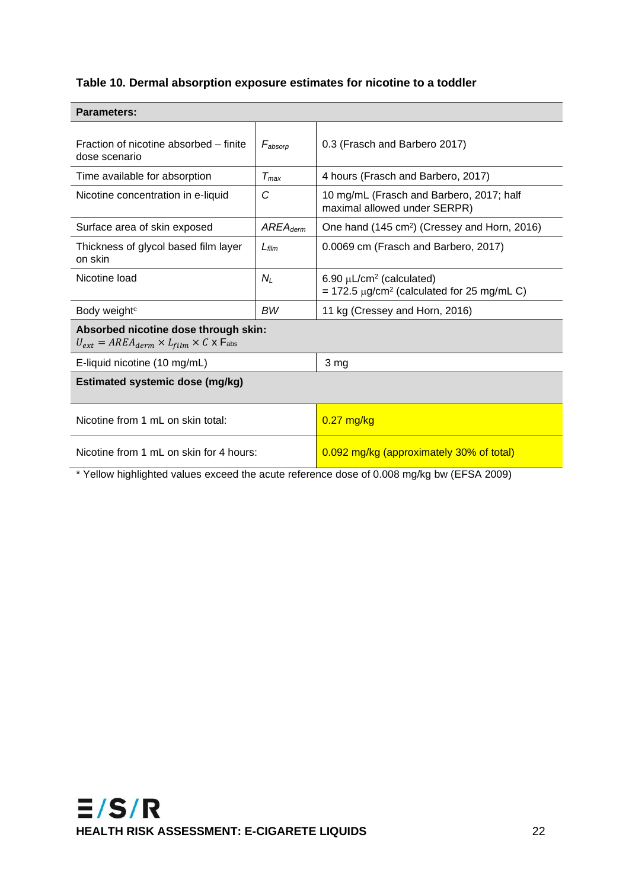### <span id="page-26-0"></span>**Table 10. Dermal absorption exposure estimates for nicotine to a toddler**

| Fraction of nicotine absorbed – finite<br>$F_{\text{absorn}}$<br>dose scenario                          |               | 0.3 (Frasch and Barbero 2017)                                                      |  |  |  |
|---------------------------------------------------------------------------------------------------------|---------------|------------------------------------------------------------------------------------|--|--|--|
| Time available for absorption<br>$T_{max}$                                                              |               | 4 hours (Frasch and Barbero, 2017)                                                 |  |  |  |
| Nicotine concentration in e-liquid                                                                      | C             | 10 mg/mL (Frasch and Barbero, 2017; half<br>maximal allowed under SERPR)           |  |  |  |
| Surface area of skin exposed                                                                            | $AREA_{derm}$ | One hand (145 cm <sup>2</sup> ) (Cressey and Horn, 2016)                           |  |  |  |
| Thickness of glycol based film layer<br>on skin                                                         | $L$ film      | 0.0069 cm (Frasch and Barbero, 2017)                                               |  |  |  |
| Nicotine load                                                                                           | Nı            | $6.90 \mu L/cm^2$ (calculated)<br>$= 172.5 \mu g/cm^2$ (calculated for 25 mg/mL C) |  |  |  |
| Body weight <sup>c</sup>                                                                                | <b>BW</b>     | 11 kg (Cressey and Horn, 2016)                                                     |  |  |  |
| Absorbed nicotine dose through skin:<br>$U_{ext} = AREA_{derm} \times L_{film} \times C \times F_{abs}$ |               |                                                                                    |  |  |  |
| E-liquid nicotine (10 mg/mL)<br>3 mg                                                                    |               |                                                                                    |  |  |  |
| <b>Estimated systemic dose (mg/kg)</b>                                                                  |               |                                                                                    |  |  |  |
| Nicotine from 1 mL on skin total:                                                                       |               | $0.27$ mg/kg                                                                       |  |  |  |
| Nicotine from 1 mL on skin for 4 hours:                                                                 |               | 0.092 mg/kg (approximately 30% of total)                                           |  |  |  |
| * Yellow highlighted values exceed the acute reference dose of 0.008 mg/kg bw (EFSA 2009)               |               |                                                                                    |  |  |  |

#### **Parameters:**

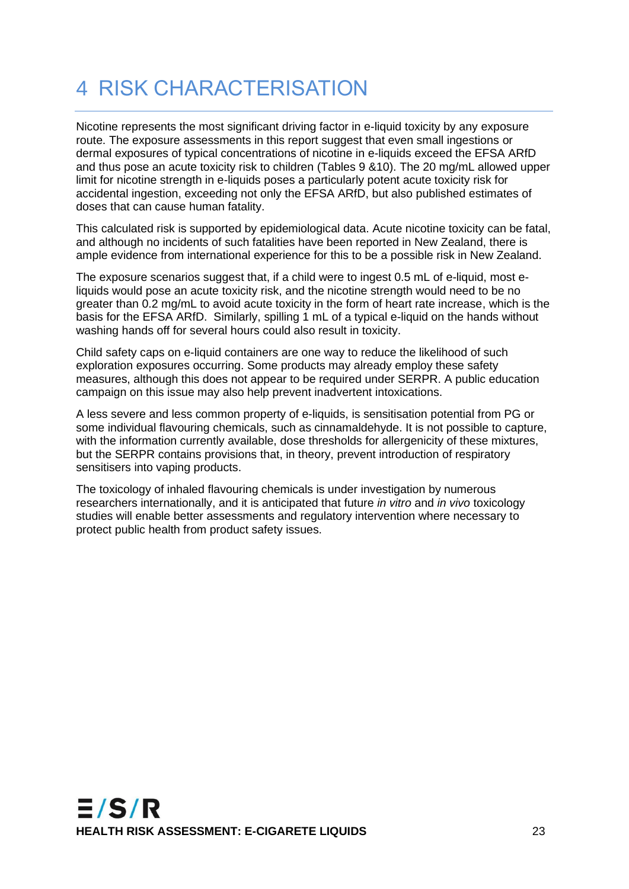### 4 RISK CHARACTERISATION

Nicotine represents the most significant driving factor in e-liquid toxicity by any exposure route. The exposure assessments in this report suggest that even small ingestions or dermal exposures of typical concentrations of nicotine in e-liquids exceed the EFSA ARfD and thus pose an acute toxicity risk to children (Tables 9 &10). The 20 mg/mL allowed upper limit for nicotine strength in e-liquids poses a particularly potent acute toxicity risk for accidental ingestion, exceeding not only the EFSA ARfD, but also published estimates of doses that can cause human fatality.

This calculated risk is supported by epidemiological data. Acute nicotine toxicity can be fatal, and although no incidents of such fatalities have been reported in New Zealand, there is ample evidence from international experience for this to be a possible risk in New Zealand.

The exposure scenarios suggest that, if a child were to ingest 0.5 mL of e-liquid, most eliquids would pose an acute toxicity risk, and the nicotine strength would need to be no greater than 0.2 mg/mL to avoid acute toxicity in the form of heart rate increase, which is the basis for the EFSA ARfD. Similarly, spilling 1 mL of a typical e-liquid on the hands without washing hands off for several hours could also result in toxicity.

Child safety caps on e-liquid containers are one way to reduce the likelihood of such exploration exposures occurring. Some products may already employ these safety measures, although this does not appear to be required under SERPR. A public education campaign on this issue may also help prevent inadvertent intoxications.

A less severe and less common property of e-liquids, is sensitisation potential from PG or some individual flavouring chemicals, such as cinnamaldehyde. It is not possible to capture, with the information currently available, dose thresholds for allergenicity of these mixtures, but the SERPR contains provisions that, in theory, prevent introduction of respiratory sensitisers into vaping products.

The toxicology of inhaled flavouring chemicals is under investigation by numerous researchers internationally, and it is anticipated that future *in vitro* and *in vivo* toxicology studies will enable better assessments and regulatory intervention where necessary to protect public health from product safety issues.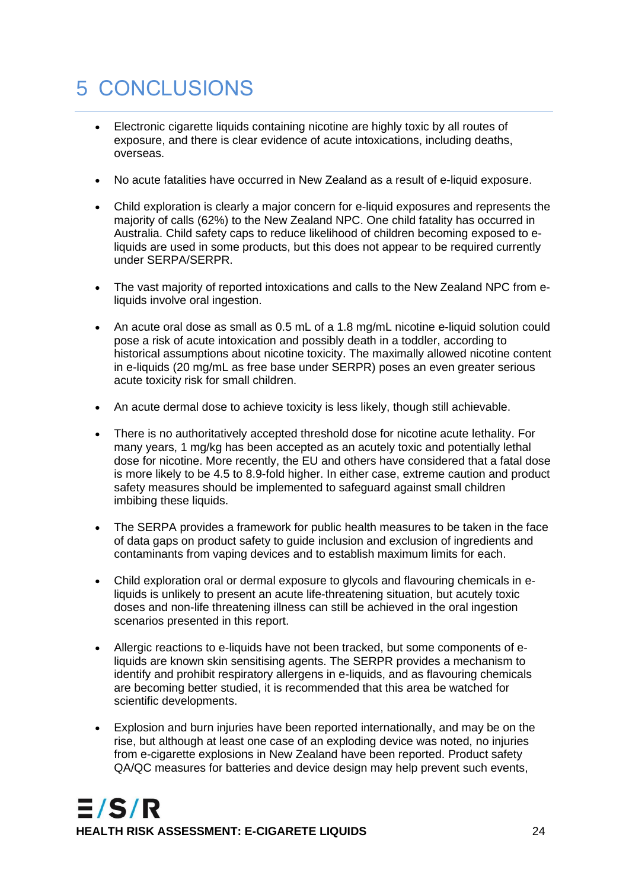# 5 CONCLUSIONS

- Electronic cigarette liquids containing nicotine are highly toxic by all routes of exposure, and there is clear evidence of acute intoxications, including deaths, overseas.
- No acute fatalities have occurred in New Zealand as a result of e-liquid exposure.
- Child exploration is clearly a major concern for e-liquid exposures and represents the majority of calls (62%) to the New Zealand NPC. One child fatality has occurred in Australia. Child safety caps to reduce likelihood of children becoming exposed to eliquids are used in some products, but this does not appear to be required currently under SERPA/SERPR.
- The vast majority of reported intoxications and calls to the New Zealand NPC from eliquids involve oral ingestion.
- An acute oral dose as small as 0.5 mL of a 1.8 mg/mL nicotine e-liquid solution could pose a risk of acute intoxication and possibly death in a toddler, according to historical assumptions about nicotine toxicity. The maximally allowed nicotine content in e-liquids (20 mg/mL as free base under SERPR) poses an even greater serious acute toxicity risk for small children.
- An acute dermal dose to achieve toxicity is less likely, though still achievable.
- There is no authoritatively accepted threshold dose for nicotine acute lethality. For many years, 1 mg/kg has been accepted as an acutely toxic and potentially lethal dose for nicotine. More recently, the EU and others have considered that a fatal dose is more likely to be 4.5 to 8.9-fold higher. In either case, extreme caution and product safety measures should be implemented to safeguard against small children imbibing these liquids.
- The SERPA provides a framework for public health measures to be taken in the face of data gaps on product safety to guide inclusion and exclusion of ingredients and contaminants from vaping devices and to establish maximum limits for each.
- Child exploration oral or dermal exposure to glycols and flavouring chemicals in eliquids is unlikely to present an acute life-threatening situation, but acutely toxic doses and non-life threatening illness can still be achieved in the oral ingestion scenarios presented in this report.
- Allergic reactions to e-liquids have not been tracked, but some components of eliquids are known skin sensitising agents. The SERPR provides a mechanism to identify and prohibit respiratory allergens in e-liquids, and as flavouring chemicals are becoming better studied, it is recommended that this area be watched for scientific developments.
- Explosion and burn injuries have been reported internationally, and may be on the rise, but although at least one case of an exploding device was noted, no injuries from e-cigarette explosions in New Zealand have been reported. Product safety QA/QC measures for batteries and device design may help prevent such events,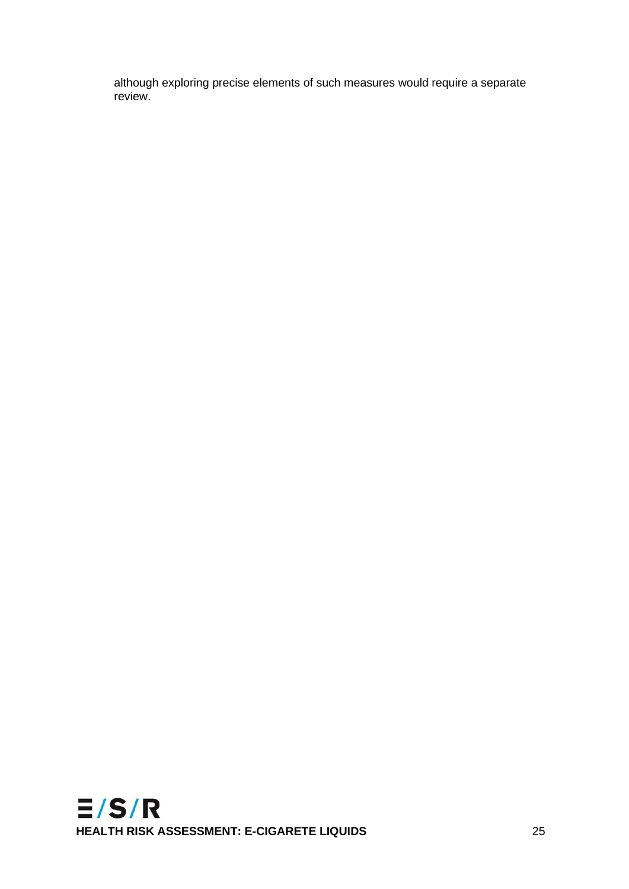although exploring precise elements of such measures would require a separate review.

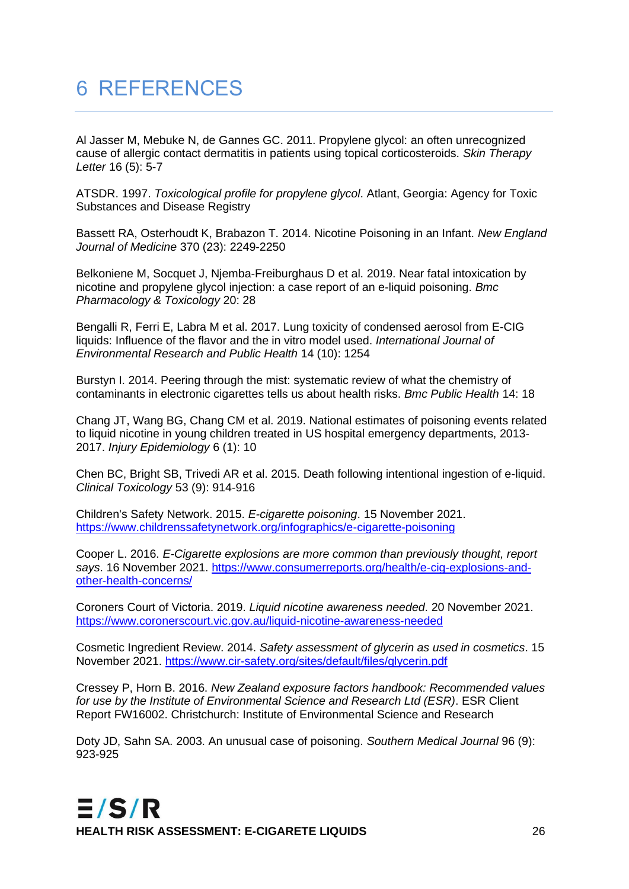# 6 REFERENCES

Al Jasser M, Mebuke N, de Gannes GC. 2011. Propylene glycol: an often unrecognized cause of allergic contact dermatitis in patients using topical corticosteroids. *Skin Therapy Letter* 16 (5): 5-7

ATSDR. 1997. *Toxicological profile for propylene glycol*. Atlant, Georgia: Agency for Toxic Substances and Disease Registry

Bassett RA, Osterhoudt K, Brabazon T. 2014. Nicotine Poisoning in an Infant. *New England Journal of Medicine* 370 (23): 2249-2250

Belkoniene M, Socquet J, Njemba-Freiburghaus D et al. 2019. Near fatal intoxication by nicotine and propylene glycol injection: a case report of an e-liquid poisoning. *Bmc Pharmacology & Toxicology* 20: 28

Bengalli R, Ferri E, Labra M et al. 2017. Lung toxicity of condensed aerosol from E-CIG liquids: Influence of the flavor and the in vitro model used. *International Journal of Environmental Research and Public Health* 14 (10): 1254

Burstyn I. 2014. Peering through the mist: systematic review of what the chemistry of contaminants in electronic cigarettes tells us about health risks. *Bmc Public Health* 14: 18

Chang JT, Wang BG, Chang CM et al. 2019. National estimates of poisoning events related to liquid nicotine in young children treated in US hospital emergency departments, 2013- 2017. *Injury Epidemiology* 6 (1): 10

Chen BC, Bright SB, Trivedi AR et al. 2015. Death following intentional ingestion of e-liquid. *Clinical Toxicology* 53 (9): 914-916

Children's Safety Network. 2015. *E-cigarette poisoning*. 15 November 2021. <https://www.childrenssafetynetwork.org/infographics/e-cigarette-poisoning>

Cooper L. 2016. *E-Cigarette explosions are more common than previously thought, report says*. 16 November 2021. [https://www.consumerreports.org/health/e-cig-explosions-and](https://www.consumerreports.org/health/e-cig-explosions-and-other-health-concerns/)[other-health-concerns/](https://www.consumerreports.org/health/e-cig-explosions-and-other-health-concerns/)

Coroners Court of Victoria. 2019. *Liquid nicotine awareness needed*. 20 November 2021. <https://www.coronerscourt.vic.gov.au/liquid-nicotine-awareness-needed>

Cosmetic Ingredient Review. 2014. *Safety assessment of glycerin as used in cosmetics*. 15 November 2021.<https://www.cir-safety.org/sites/default/files/glycerin.pdf>

Cressey P, Horn B. 2016. *New Zealand exposure factors handbook: Recommended values for use by the Institute of Environmental Science and Research Ltd (ESR)*. ESR Client Report FW16002. Christchurch: Institute of Environmental Science and Research

Doty JD, Sahn SA. 2003. An unusual case of poisoning. *Southern Medical Journal* 96 (9): 923-925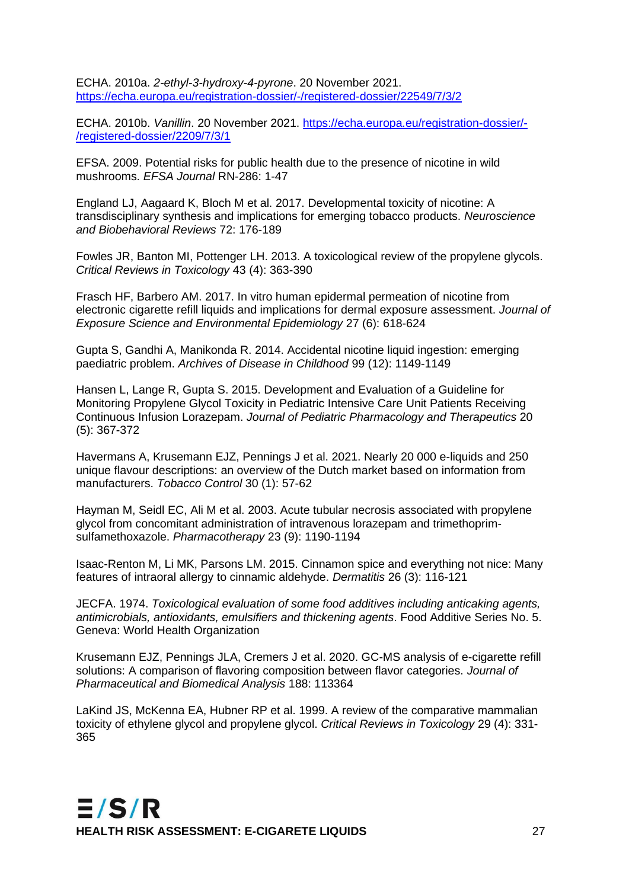ECHA. 2010a. *2-ethyl-3-hydroxy-4-pyrone*. 20 November 2021. <https://echa.europa.eu/registration-dossier/-/registered-dossier/22549/7/3/2>

ECHA. 2010b. *Vanillin*. 20 November 2021. [https://echa.europa.eu/registration-dossier/-](https://echa.europa.eu/registration-dossier/-/registered-dossier/2209/7/3/1) [/registered-dossier/2209/7/3/1](https://echa.europa.eu/registration-dossier/-/registered-dossier/2209/7/3/1)

EFSA. 2009. Potential risks for public health due to the presence of nicotine in wild mushrooms. *EFSA Journal* RN-286: 1-47

England LJ, Aagaard K, Bloch M et al. 2017. Developmental toxicity of nicotine: A transdisciplinary synthesis and implications for emerging tobacco products. *Neuroscience and Biobehavioral Reviews* 72: 176-189

Fowles JR, Banton MI, Pottenger LH. 2013. A toxicological review of the propylene glycols. *Critical Reviews in Toxicology* 43 (4): 363-390

Frasch HF, Barbero AM. 2017. In vitro human epidermal permeation of nicotine from electronic cigarette refill liquids and implications for dermal exposure assessment. *Journal of Exposure Science and Environmental Epidemiology* 27 (6): 618-624

Gupta S, Gandhi A, Manikonda R. 2014. Accidental nicotine liquid ingestion: emerging paediatric problem. *Archives of Disease in Childhood* 99 (12): 1149-1149

Hansen L, Lange R, Gupta S. 2015. Development and Evaluation of a Guideline for Monitoring Propylene Glycol Toxicity in Pediatric Intensive Care Unit Patients Receiving Continuous Infusion Lorazepam. *Journal of Pediatric Pharmacology and Therapeutics* 20 (5): 367-372

Havermans A, Krusemann EJZ, Pennings J et al. 2021. Nearly 20 000 e-liquids and 250 unique flavour descriptions: an overview of the Dutch market based on information from manufacturers. *Tobacco Control* 30 (1): 57-62

Hayman M, Seidl EC, Ali M et al. 2003. Acute tubular necrosis associated with propylene glycol from concomitant administration of intravenous lorazepam and trimethoprimsulfamethoxazole. *Pharmacotherapy* 23 (9): 1190-1194

Isaac-Renton M, Li MK, Parsons LM. 2015. Cinnamon spice and everything not nice: Many features of intraoral allergy to cinnamic aldehyde. *Dermatitis* 26 (3): 116-121

JECFA. 1974. *Toxicological evaluation of some food additives including anticaking agents, antimicrobials, antioxidants, emulsifiers and thickening agents*. Food Additive Series No. 5. Geneva: World Health Organization

Krusemann EJZ, Pennings JLA, Cremers J et al. 2020. GC-MS analysis of e-cigarette refill solutions: A comparison of flavoring composition between flavor categories. *Journal of Pharmaceutical and Biomedical Analysis* 188: 113364

LaKind JS, McKenna EA, Hubner RP et al. 1999. A review of the comparative mammalian toxicity of ethylene glycol and propylene glycol. *Critical Reviews in Toxicology* 29 (4): 331- 365

 $E/S/R$ **HEALTH RISK ASSESSMENT: E-CIGARETE LIQUIDS** 27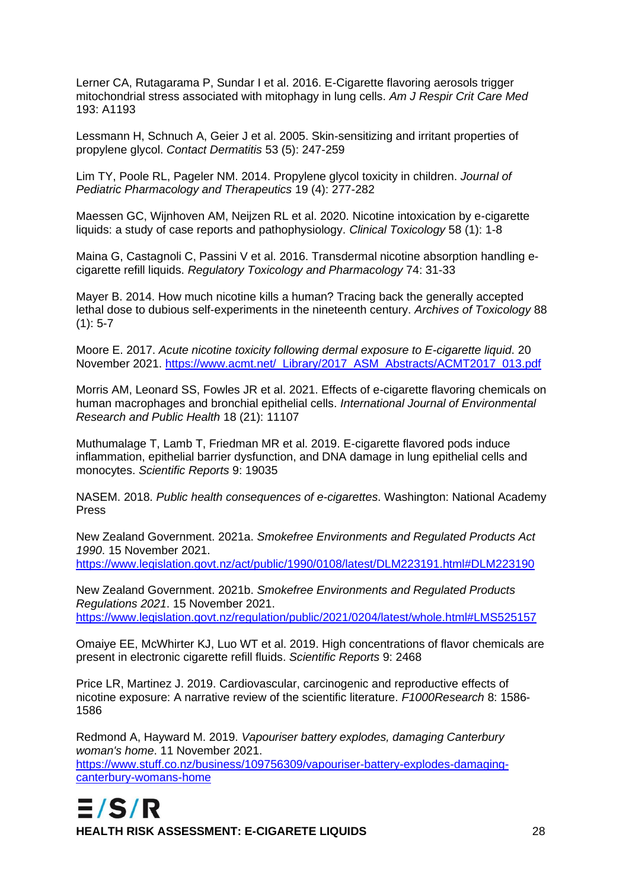Lerner CA, Rutagarama P, Sundar I et al. 2016. E-Cigarette flavoring aerosols trigger mitochondrial stress associated with mitophagy in lung cells. *Am J Respir Crit Care Med*  193: A1193

Lessmann H, Schnuch A, Geier J et al. 2005. Skin-sensitizing and irritant properties of propylene glycol. *Contact Dermatitis* 53 (5): 247-259

Lim TY, Poole RL, Pageler NM. 2014. Propylene glycol toxicity in children. *Journal of Pediatric Pharmacology and Therapeutics* 19 (4): 277-282

Maessen GC, Wijnhoven AM, Neijzen RL et al. 2020. Nicotine intoxication by e-cigarette liquids: a study of case reports and pathophysiology. *Clinical Toxicology* 58 (1): 1-8

Maina G, Castagnoli C, Passini V et al. 2016. Transdermal nicotine absorption handling ecigarette refill liquids. *Regulatory Toxicology and Pharmacology* 74: 31-33

Mayer B. 2014. How much nicotine kills a human? Tracing back the generally accepted lethal dose to dubious self-experiments in the nineteenth century. *Archives of Toxicology* 88  $(1): 5 - 7$ 

Moore E. 2017. *Acute nicotine toxicity following dermal exposure to E-cigarette liquid*. 20 November 2021. [https://www.acmt.net/\\_Library/2017\\_ASM\\_Abstracts/ACMT2017\\_013.pdf](https://www.acmt.net/_Library/2017_ASM_Abstracts/ACMT2017_013.pdf)

Morris AM, Leonard SS, Fowles JR et al. 2021. Effects of e-cigarette flavoring chemicals on human macrophages and bronchial epithelial cells. *International Journal of Environmental Research and Public Health* 18 (21): 11107

Muthumalage T, Lamb T, Friedman MR et al. 2019. E-cigarette flavored pods induce inflammation, epithelial barrier dysfunction, and DNA damage in lung epithelial cells and monocytes. *Scientific Reports* 9: 19035

NASEM. 2018. *Public health consequences of e-cigarettes*. Washington: National Academy Press

New Zealand Government. 2021a. *Smokefree Environments and Regulated Products Act 1990*. 15 November 2021.

<https://www.legislation.govt.nz/act/public/1990/0108/latest/DLM223191.html#DLM223190>

New Zealand Government. 2021b. *Smokefree Environments and Regulated Products Regulations 2021*. 15 November 2021. <https://www.legislation.govt.nz/regulation/public/2021/0204/latest/whole.html#LMS525157>

Omaiye EE, McWhirter KJ, Luo WT et al. 2019. High concentrations of flavor chemicals are present in electronic cigarette refill fluids. *Scientific Reports* 9: 2468

Price LR, Martinez J. 2019. Cardiovascular, carcinogenic and reproductive effects of nicotine exposure: A narrative review of the scientific literature. *F1000Research* 8: 1586- 1586

Redmond A, Hayward M. 2019. *Vapouriser battery explodes, damaging Canterbury woman's home*. 11 November 2021. [https://www.stuff.co.nz/business/109756309/vapouriser-battery-explodes-damaging](https://www.stuff.co.nz/business/109756309/vapouriser-battery-explodes-damaging-canterbury-womans-home)[canterbury-womans-home](https://www.stuff.co.nz/business/109756309/vapouriser-battery-explodes-damaging-canterbury-womans-home)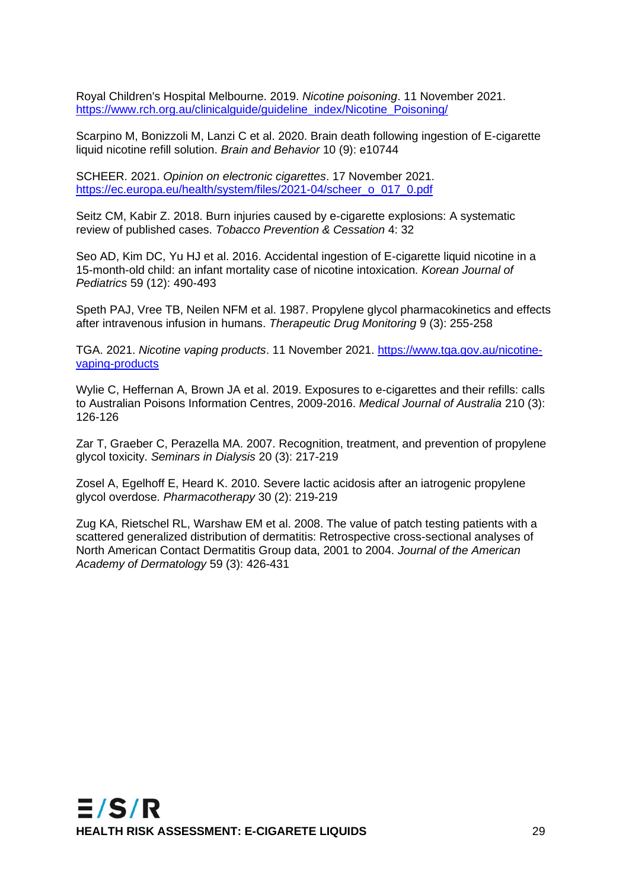Royal Children's Hospital Melbourne. 2019. *Nicotine poisoning*. 11 November 2021. [https://www.rch.org.au/clinicalguide/guideline\\_index/Nicotine\\_Poisoning/](https://www.rch.org.au/clinicalguide/guideline_index/Nicotine_Poisoning/)

Scarpino M, Bonizzoli M, Lanzi C et al. 2020. Brain death following ingestion of E-cigarette liquid nicotine refill solution. *Brain and Behavior* 10 (9): e10744

SCHEER. 2021. *Opinion on electronic cigarettes*. 17 November 2021. [https://ec.europa.eu/health/system/files/2021-04/scheer\\_o\\_017\\_0.pdf](https://ec.europa.eu/health/system/files/2021-04/scheer_o_017_0.pdf)

Seitz CM, Kabir Z. 2018. Burn injuries caused by e-cigarette explosions: A systematic review of published cases. *Tobacco Prevention & Cessation* 4: 32

Seo AD, Kim DC, Yu HJ et al. 2016. Accidental ingestion of E-cigarette liquid nicotine in a 15-month-old child: an infant mortality case of nicotine intoxication. *Korean Journal of Pediatrics* 59 (12): 490-493

Speth PAJ, Vree TB, Neilen NFM et al. 1987. Propylene glycol pharmacokinetics and effects after intravenous infusion in humans. *Therapeutic Drug Monitoring* 9 (3): 255-258

TGA. 2021. *Nicotine vaping products*. 11 November 2021. [https://www.tga.gov.au/nicotine](https://www.tga.gov.au/nicotine-vaping-products)[vaping-products](https://www.tga.gov.au/nicotine-vaping-products)

Wylie C, Heffernan A, Brown JA et al. 2019. Exposures to e-cigarettes and their refills: calls to Australian Poisons Information Centres, 2009-2016. *Medical Journal of Australia* 210 (3): 126-126

Zar T, Graeber C, Perazella MA. 2007. Recognition, treatment, and prevention of propylene glycol toxicity. *Seminars in Dialysis* 20 (3): 217-219

Zosel A, Egelhoff E, Heard K. 2010. Severe lactic acidosis after an iatrogenic propylene glycol overdose. *Pharmacotherapy* 30 (2): 219-219

Zug KA, Rietschel RL, Warshaw EM et al. 2008. The value of patch testing patients with a scattered generalized distribution of dermatitis: Retrospective cross-sectional analyses of North American Contact Dermatitis Group data, 2001 to 2004. *Journal of the American Academy of Dermatology* 59 (3): 426-431